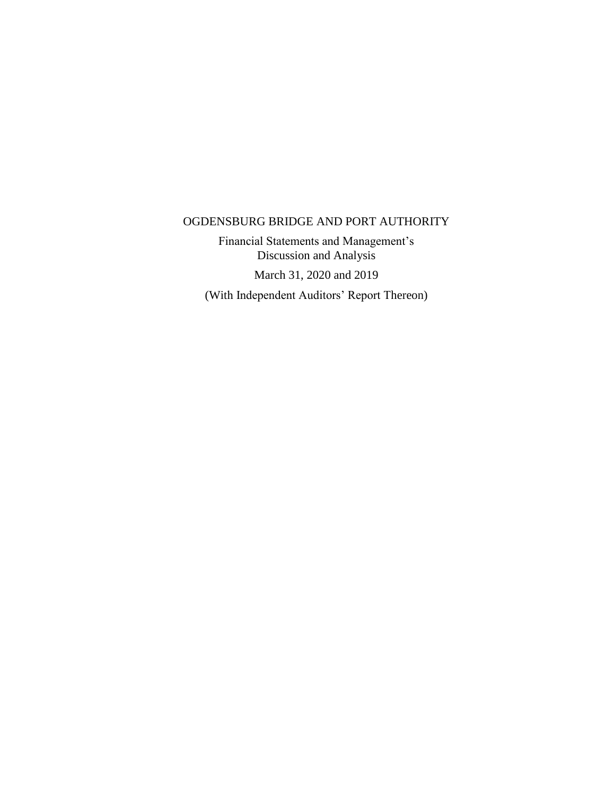Financial Statements and Management's Discussion and Analysis

March 31, 2020 and 2019

(With Independent Auditors' Report Thereon)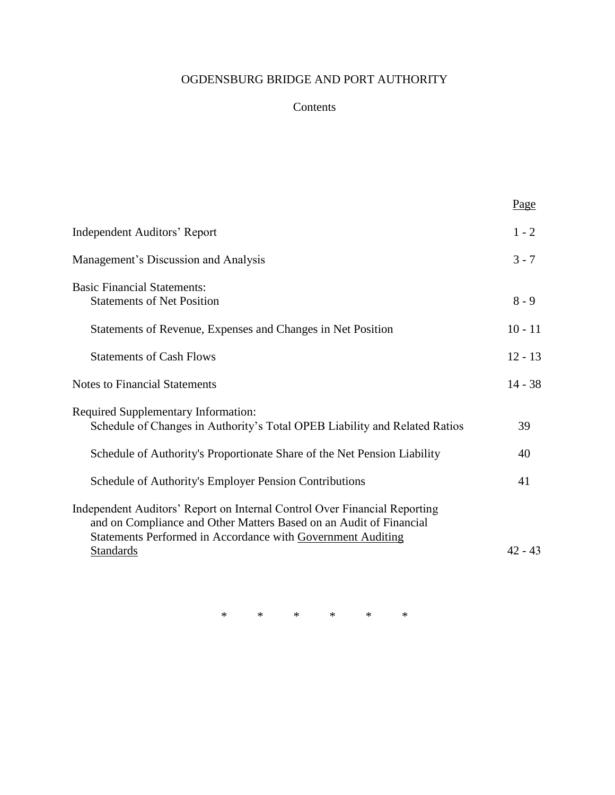# Contents

|                                                                                                                                                                                                                | Page      |
|----------------------------------------------------------------------------------------------------------------------------------------------------------------------------------------------------------------|-----------|
| Independent Auditors' Report                                                                                                                                                                                   | $1 - 2$   |
| Management's Discussion and Analysis                                                                                                                                                                           | $3 - 7$   |
| <b>Basic Financial Statements:</b><br><b>Statements of Net Position</b>                                                                                                                                        | $8 - 9$   |
| Statements of Revenue, Expenses and Changes in Net Position                                                                                                                                                    | $10 - 11$ |
| <b>Statements of Cash Flows</b>                                                                                                                                                                                | $12 - 13$ |
| <b>Notes to Financial Statements</b>                                                                                                                                                                           | $14 - 38$ |
| <b>Required Supplementary Information:</b><br>Schedule of Changes in Authority's Total OPEB Liability and Related Ratios                                                                                       | 39        |
| Schedule of Authority's Proportionate Share of the Net Pension Liability                                                                                                                                       | 40        |
| Schedule of Authority's Employer Pension Contributions                                                                                                                                                         | 41        |
| Independent Auditors' Report on Internal Control Over Financial Reporting<br>and on Compliance and Other Matters Based on an Audit of Financial<br>Statements Performed in Accordance with Government Auditing |           |
| <b>Standards</b>                                                                                                                                                                                               | $42 - 43$ |

\* \* \* \* \* \*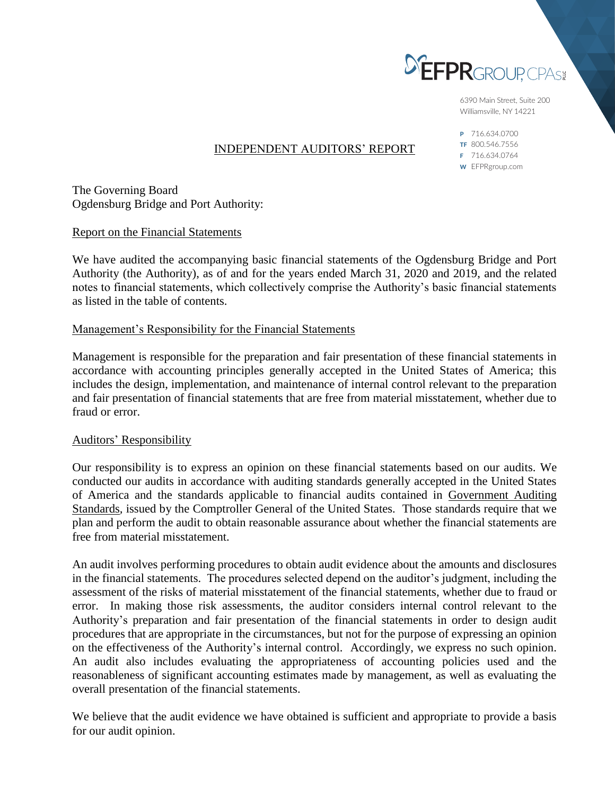

6390 Main Street, Suite 200 Williamsville, NY 14221

# INDEPENDENT AUDITORS' REPORT

P 716.634.0700 TF 800.546.7556 F 716.634.0764 W EFPRgroup.com

The Governing Board Ogdensburg Bridge and Port Authority:

Report on the Financial Statements

We have audited the accompanying basic financial statements of the Ogdensburg Bridge and Port Authority (the Authority), as of and for the years ended March 31, 2020 and 2019, and the related notes to financial statements, which collectively comprise the Authority's basic financial statements as listed in the table of contents.

## Management's Responsibility for the Financial Statements

Management is responsible for the preparation and fair presentation of these financial statements in accordance with accounting principles generally accepted in the United States of America; this includes the design, implementation, and maintenance of internal control relevant to the preparation and fair presentation of financial statements that are free from material misstatement, whether due to fraud or error.

#### Auditors' Responsibility

Our responsibility is to express an opinion on these financial statements based on our audits. We conducted our audits in accordance with auditing standards generally accepted in the United States of America and the standards applicable to financial audits contained in Government Auditing Standards*,* issued by the Comptroller General of the United States. Those standards require that we plan and perform the audit to obtain reasonable assurance about whether the financial statements are free from material misstatement.

An audit involves performing procedures to obtain audit evidence about the amounts and disclosures in the financial statements. The procedures selected depend on the auditor's judgment, including the assessment of the risks of material misstatement of the financial statements, whether due to fraud or error. In making those risk assessments, the auditor considers internal control relevant to the Authority's preparation and fair presentation of the financial statements in order to design audit procedures that are appropriate in the circumstances, but not for the purpose of expressing an opinion on the effectiveness of the Authority's internal control. Accordingly, we express no such opinion. An audit also includes evaluating the appropriateness of accounting policies used and the reasonableness of significant accounting estimates made by management, as well as evaluating the overall presentation of the financial statements.

We believe that the audit evidence we have obtained is sufficient and appropriate to provide a basis for our audit opinion.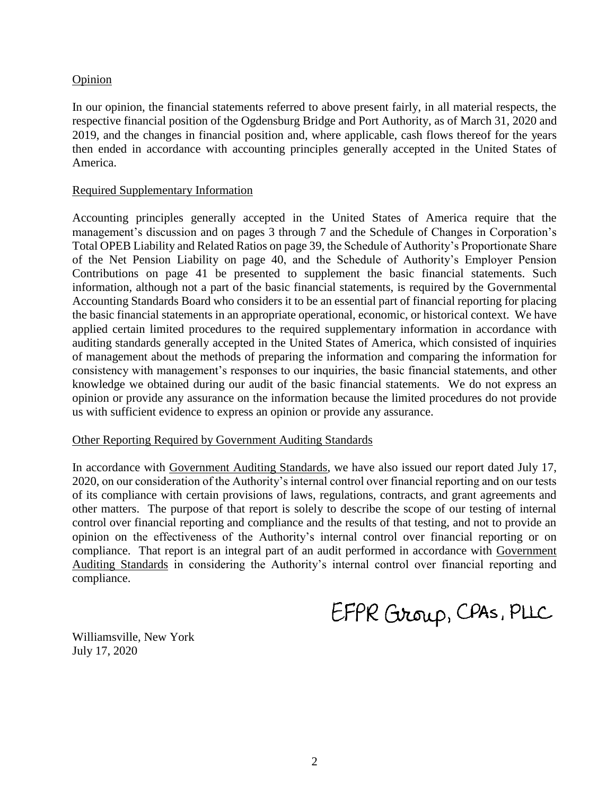## **Opinion**

In our opinion, the financial statements referred to above present fairly, in all material respects, the respective financial position of the Ogdensburg Bridge and Port Authority, as of March 31, 2020 and 2019, and the changes in financial position and, where applicable, cash flows thereof for the years then ended in accordance with accounting principles generally accepted in the United States of America.

## Required Supplementary Information

Accounting principles generally accepted in the United States of America require that the management's discussion and on pages 3 through 7 and the Schedule of Changes in Corporation's Total OPEB Liability and Related Ratios on page 39, the Schedule of Authority's Proportionate Share of the Net Pension Liability on page 40, and the Schedule of Authority's Employer Pension Contributions on page 41 be presented to supplement the basic financial statements. Such information, although not a part of the basic financial statements, is required by the Governmental Accounting Standards Board who considers it to be an essential part of financial reporting for placing the basic financial statements in an appropriate operational, economic, or historical context. We have applied certain limited procedures to the required supplementary information in accordance with auditing standards generally accepted in the United States of America, which consisted of inquiries of management about the methods of preparing the information and comparing the information for consistency with management's responses to our inquiries, the basic financial statements, and other knowledge we obtained during our audit of the basic financial statements. We do not express an opinion or provide any assurance on the information because the limited procedures do not provide us with sufficient evidence to express an opinion or provide any assurance.

#### Other Reporting Required by Government Auditing Standards

In accordance with Government Auditing Standards, we have also issued our report dated July 17, 2020, on our consideration of the Authority's internal control over financial reporting and on our tests of its compliance with certain provisions of laws, regulations, contracts, and grant agreements and other matters. The purpose of that report is solely to describe the scope of our testing of internal control over financial reporting and compliance and the results of that testing, and not to provide an opinion on the effectiveness of the Authority's internal control over financial reporting or on compliance. That report is an integral part of an audit performed in accordance with Government Auditing Standards in considering the Authority's internal control over financial reporting and compliance.

EFPR Group, CPAS, PLLC

Williamsville, New York July 17, 2020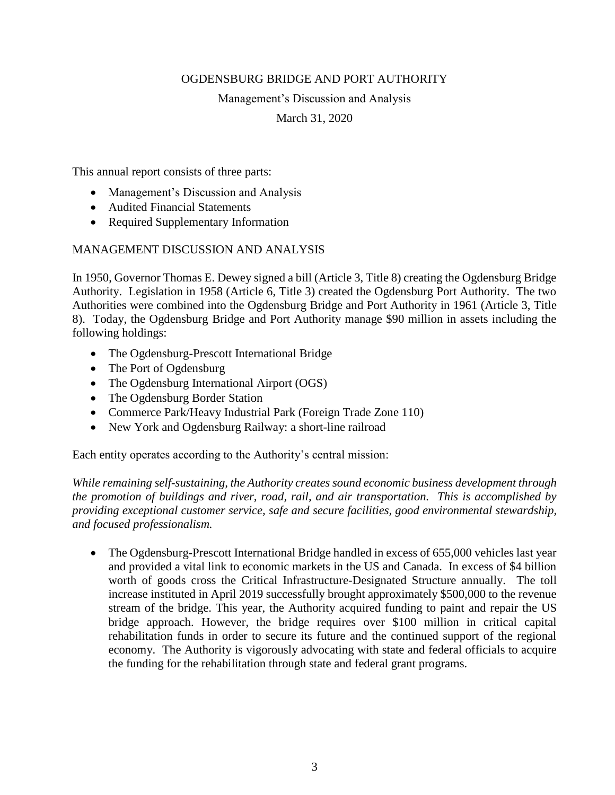## Management's Discussion and Analysis

March 31, 2020

This annual report consists of three parts:

- Management's Discussion and Analysis
- Audited Financial Statements
- Required Supplementary Information

# MANAGEMENT DISCUSSION AND ANALYSIS

In 1950, Governor Thomas E. Dewey signed a bill (Article 3, Title 8) creating the Ogdensburg Bridge Authority. Legislation in 1958 (Article 6, Title 3) created the Ogdensburg Port Authority. The two Authorities were combined into the Ogdensburg Bridge and Port Authority in 1961 (Article 3, Title 8). Today, the Ogdensburg Bridge and Port Authority manage \$90 million in assets including the following holdings:

- The Ogdensburg-Prescott International Bridge
- The Port of Ogdensburg
- The Ogdensburg International Airport (OGS)
- The Ogdensburg Border Station
- Commerce Park/Heavy Industrial Park (Foreign Trade Zone 110)
- New York and Ogdensburg Railway: a short-line railroad

Each entity operates according to the Authority's central mission:

*While remaining self-sustaining, the Authority creates sound economic business development through the promotion of buildings and river, road, rail, and air transportation. This is accomplished by providing exceptional customer service, safe and secure facilities, good environmental stewardship, and focused professionalism.*

• The Ogdensburg-Prescott International Bridge handled in excess of 655,000 vehicles last year and provided a vital link to economic markets in the US and Canada. In excess of \$4 billion worth of goods cross the Critical Infrastructure-Designated Structure annually. The toll increase instituted in April 2019 successfully brought approximately \$500,000 to the revenue stream of the bridge. This year, the Authority acquired funding to paint and repair the US bridge approach. However, the bridge requires over \$100 million in critical capital rehabilitation funds in order to secure its future and the continued support of the regional economy. The Authority is vigorously advocating with state and federal officials to acquire the funding for the rehabilitation through state and federal grant programs.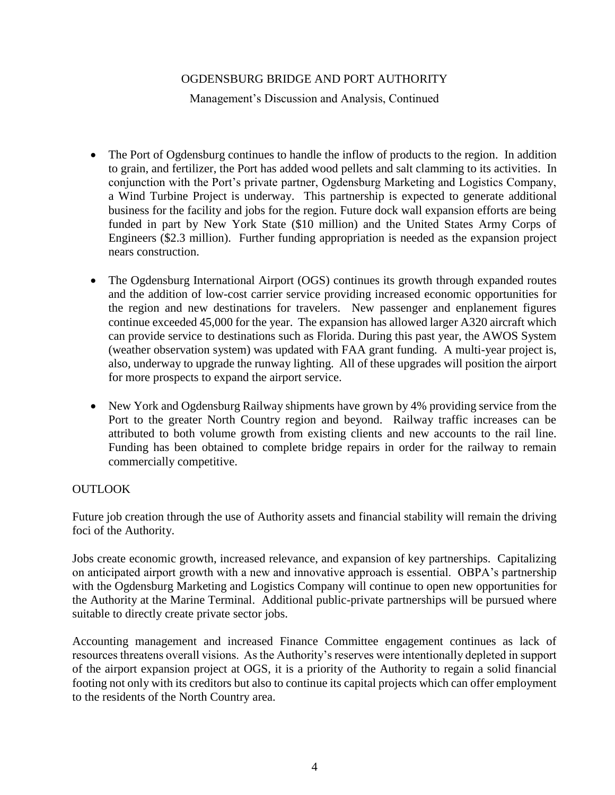Management's Discussion and Analysis, Continued

- The Port of Ogdensburg continues to handle the inflow of products to the region. In addition to grain, and fertilizer, the Port has added wood pellets and salt clamming to its activities. In conjunction with the Port's private partner, Ogdensburg Marketing and Logistics Company, a Wind Turbine Project is underway. This partnership is expected to generate additional business for the facility and jobs for the region. Future dock wall expansion efforts are being funded in part by New York State (\$10 million) and the United States Army Corps of Engineers (\$2.3 million). Further funding appropriation is needed as the expansion project nears construction.
- The Ogdensburg International Airport (OGS) continues its growth through expanded routes and the addition of low-cost carrier service providing increased economic opportunities for the region and new destinations for travelers. New passenger and enplanement figures continue exceeded 45,000 for the year. The expansion has allowed larger A320 aircraft which can provide service to destinations such as Florida. During this past year, the AWOS System (weather observation system) was updated with FAA grant funding. A multi-year project is, also, underway to upgrade the runway lighting. All of these upgrades will position the airport for more prospects to expand the airport service.
- New York and Ogdensburg Railway shipments have grown by 4% providing service from the Port to the greater North Country region and beyond. Railway traffic increases can be attributed to both volume growth from existing clients and new accounts to the rail line. Funding has been obtained to complete bridge repairs in order for the railway to remain commercially competitive.

# **OUTLOOK**

Future job creation through the use of Authority assets and financial stability will remain the driving foci of the Authority.

Jobs create economic growth, increased relevance, and expansion of key partnerships. Capitalizing on anticipated airport growth with a new and innovative approach is essential. OBPA's partnership with the Ogdensburg Marketing and Logistics Company will continue to open new opportunities for the Authority at the Marine Terminal. Additional public-private partnerships will be pursued where suitable to directly create private sector jobs.

Accounting management and increased Finance Committee engagement continues as lack of resources threatens overall visions. As the Authority's reserves were intentionally depleted in support of the airport expansion project at OGS, it is a priority of the Authority to regain a solid financial footing not only with its creditors but also to continue its capital projects which can offer employment to the residents of the North Country area.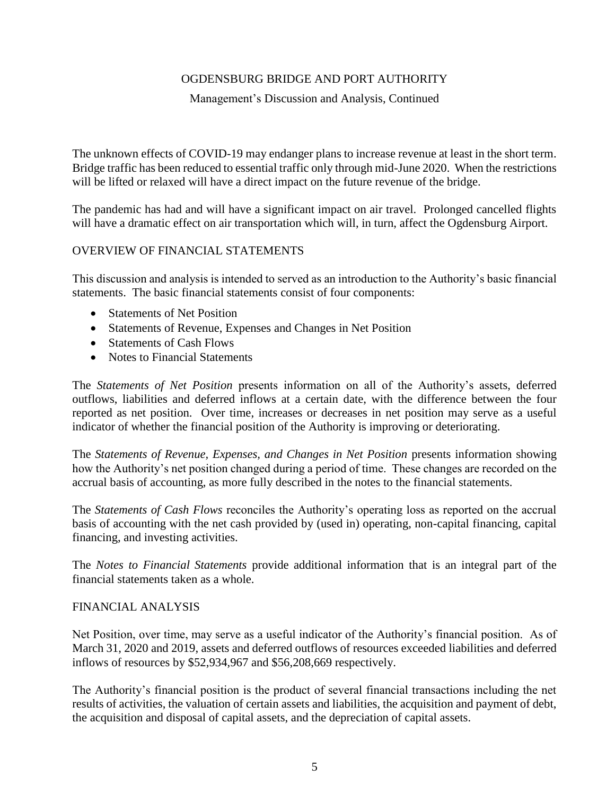## Management's Discussion and Analysis, Continued

The unknown effects of COVID-19 may endanger plans to increase revenue at least in the short term. Bridge traffic has been reduced to essential traffic only through mid-June 2020. When the restrictions will be lifted or relaxed will have a direct impact on the future revenue of the bridge.

The pandemic has had and will have a significant impact on air travel. Prolonged cancelled flights will have a dramatic effect on air transportation which will, in turn, affect the Ogdensburg Airport.

# OVERVIEW OF FINANCIAL STATEMENTS

This discussion and analysis is intended to served as an introduction to the Authority's basic financial statements. The basic financial statements consist of four components:

- Statements of Net Position
- Statements of Revenue, Expenses and Changes in Net Position
- Statements of Cash Flows
- Notes to Financial Statements

The *Statements of Net Position* presents information on all of the Authority's assets, deferred outflows, liabilities and deferred inflows at a certain date, with the difference between the four reported as net position. Over time, increases or decreases in net position may serve as a useful indicator of whether the financial position of the Authority is improving or deteriorating.

The *Statements of Revenue, Expenses, and Changes in Net Position* presents information showing how the Authority's net position changed during a period of time. These changes are recorded on the accrual basis of accounting, as more fully described in the notes to the financial statements.

The *Statements of Cash Flows* reconciles the Authority's operating loss as reported on the accrual basis of accounting with the net cash provided by (used in) operating, non-capital financing, capital financing, and investing activities.

The *Notes to Financial Statements* provide additional information that is an integral part of the financial statements taken as a whole.

## FINANCIAL ANALYSIS

Net Position, over time, may serve as a useful indicator of the Authority's financial position. As of March 31, 2020 and 2019, assets and deferred outflows of resources exceeded liabilities and deferred inflows of resources by \$52,934,967 and \$56,208,669 respectively.

The Authority's financial position is the product of several financial transactions including the net results of activities, the valuation of certain assets and liabilities, the acquisition and payment of debt, the acquisition and disposal of capital assets, and the depreciation of capital assets.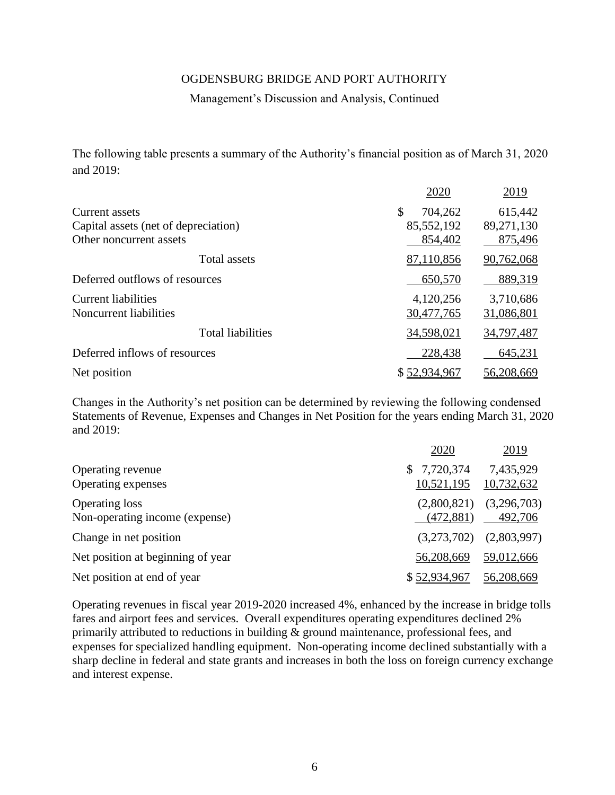### Management's Discussion and Analysis, Continued

The following table presents a summary of the Authority's financial position as of March 31, 2020 and 2019:

|                                      | 2020          | 2019       |
|--------------------------------------|---------------|------------|
| Current assets                       | \$<br>704,262 | 615,442    |
| Capital assets (net of depreciation) | 85,552,192    | 89,271,130 |
| Other noncurrent assets              | 854,402       | 875,496    |
| Total assets                         | 87,110,856    | 90,762,068 |
| Deferred outflows of resources       | 650,570       | 889,319    |
| <b>Current liabilities</b>           | 4,120,256     | 3,710,686  |
| Noncurrent liabilities               | 30,477,765    | 31,086,801 |
| <b>Total liabilities</b>             | 34,598,021    | 34,797,487 |
| Deferred inflows of resources        | 228,438       | 645,231    |
| Net position                         | \$52,934,967  | 56,208,669 |

Changes in the Authority's net position can be determined by reviewing the following condensed Statements of Revenue, Expenses and Changes in Net Position for the years ending March 31, 2020 and 2019:

|                                                         | 2020                      | 2019                    |
|---------------------------------------------------------|---------------------------|-------------------------|
| Operating revenue<br>Operating expenses                 | \$7,720,374<br>10,521,195 | 7,435,929<br>10,732,632 |
| <b>Operating loss</b><br>Non-operating income (expense) | (2,800,821)<br>(472,881)  | (3,296,703)<br>492,706  |
| Change in net position                                  | (3,273,702)               | (2,803,997)             |
| Net position at beginning of year                       | 56,208,669                | 59,012,666              |
| Net position at end of year                             | \$52,934,967              | 56,208,669              |

Operating revenues in fiscal year 2019-2020 increased 4%, enhanced by the increase in bridge tolls fares and airport fees and services. Overall expenditures operating expenditures declined 2% primarily attributed to reductions in building & ground maintenance, professional fees, and expenses for specialized handling equipment. Non-operating income declined substantially with a sharp decline in federal and state grants and increases in both the loss on foreign currency exchange and interest expense.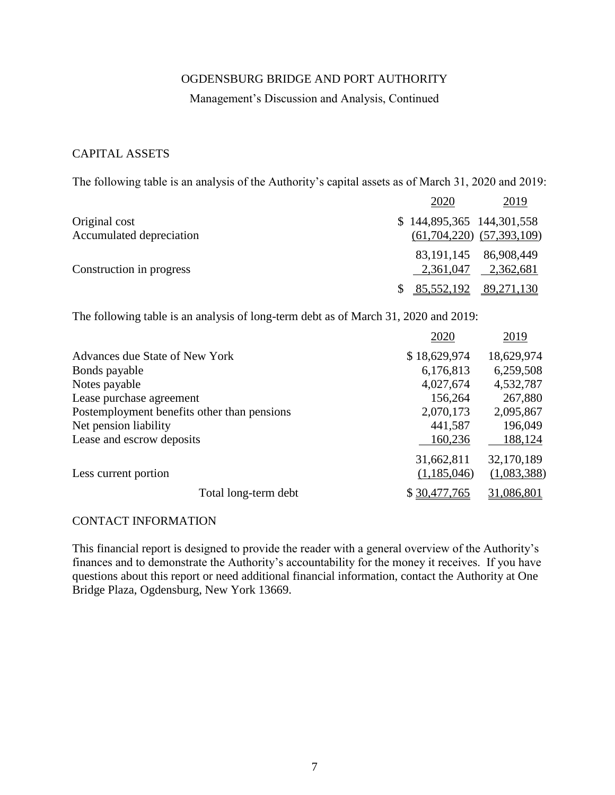### Management's Discussion and Analysis, Continued

# CAPITAL ASSETS

The following table is an analysis of the Authority's capital assets as of March 31, 2020 and 2019:

|                          | 2020                      | 2019                                             |
|--------------------------|---------------------------|--------------------------------------------------|
| Original cost            | \$144,895,365 144,301,558 |                                                  |
| Accumulated depreciation |                           | $(61, 704, 220)$ $(57, 393, 109)$                |
| Construction in progress |                           | 83, 191, 145 86, 908, 449<br>2,361,047 2,362,681 |
|                          |                           | 85,552,192 89,271,130                            |

The following table is an analysis of long-term debt as of March 31, 2020 and 2019:

|                                             | 2020         | 2019        |
|---------------------------------------------|--------------|-------------|
| Advances due State of New York              | \$18,629,974 | 18,629,974  |
| Bonds payable                               | 6,176,813    | 6,259,508   |
| Notes payable                               | 4,027,674    | 4,532,787   |
| Lease purchase agreement                    | 156,264      | 267,880     |
| Postemployment benefits other than pensions | 2,070,173    | 2,095,867   |
| Net pension liability                       | 441,587      | 196,049     |
| Lease and escrow deposits                   | 160,236      | 188,124     |
|                                             | 31,662,811   | 32,170,189  |
| Less current portion                        | (1,185,046)  | (1,083,388) |
| Total long-term debt                        | \$30,477,765 | 31,086,801  |

### CONTACT INFORMATION

This financial report is designed to provide the reader with a general overview of the Authority's finances and to demonstrate the Authority's accountability for the money it receives. If you have questions about this report or need additional financial information, contact the Authority at One Bridge Plaza, Ogdensburg, New York 13669.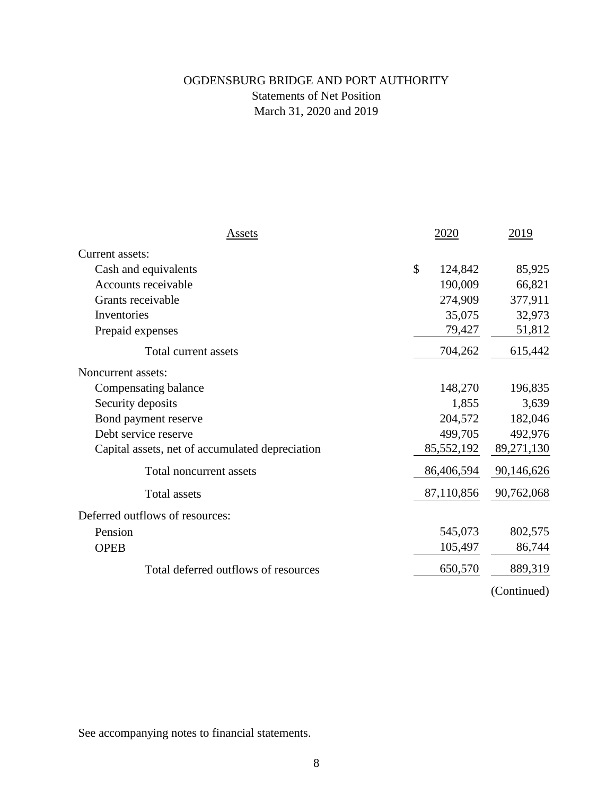# OGDENSBURG BRIDGE AND PORT AUTHORITY Statements of Net Position March 31, 2020 and 2019

| Assets                                          | 2020          | 2019        |
|-------------------------------------------------|---------------|-------------|
| Current assets:                                 |               |             |
| Cash and equivalents                            | \$<br>124,842 | 85,925      |
| Accounts receivable                             | 190,009       | 66,821      |
| Grants receivable                               | 274,909       | 377,911     |
| Inventories                                     | 35,075        | 32,973      |
| Prepaid expenses                                | 79,427        | 51,812      |
| Total current assets                            | 704,262       | 615,442     |
| Noncurrent assets:                              |               |             |
| Compensating balance                            | 148,270       | 196,835     |
| Security deposits                               | 1,855         | 3,639       |
| Bond payment reserve                            | 204,572       | 182,046     |
| Debt service reserve                            | 499,705       | 492,976     |
| Capital assets, net of accumulated depreciation | 85,552,192    | 89,271,130  |
| Total noncurrent assets                         | 86,406,594    | 90,146,626  |
| <b>Total assets</b>                             | 87,110,856    | 90,762,068  |
| Deferred outflows of resources:                 |               |             |
| Pension                                         | 545,073       | 802,575     |
| <b>OPEB</b>                                     | 105,497       | 86,744      |
| Total deferred outflows of resources            | 650,570       | 889,319     |
|                                                 |               | (Continued) |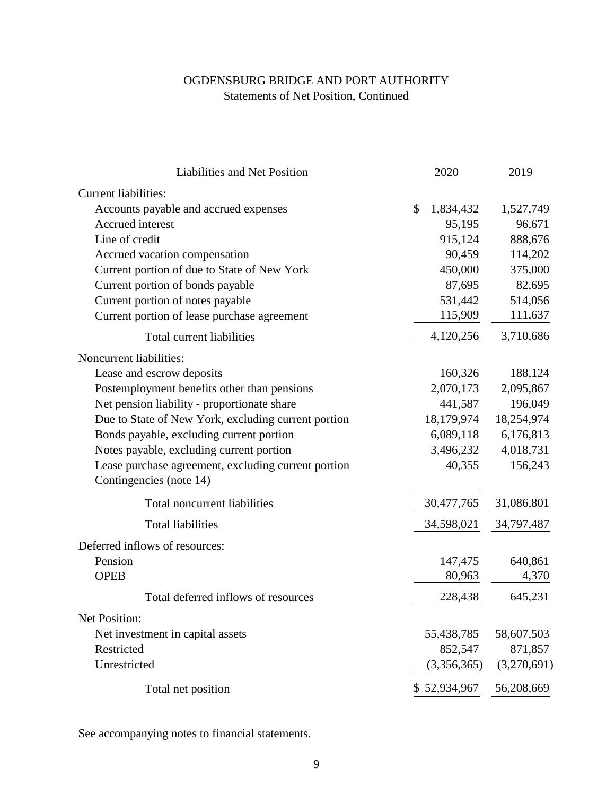# OGDENSBURG BRIDGE AND PORT AUTHORITY Statements of Net Position, Continued

| Liabilities and Net Position                                                   | 2020            | 2019        |
|--------------------------------------------------------------------------------|-----------------|-------------|
| <b>Current liabilities:</b>                                                    |                 |             |
| Accounts payable and accrued expenses                                          | \$<br>1,834,432 | 1,527,749   |
| Accrued interest                                                               | 95,195          | 96,671      |
| Line of credit                                                                 | 915,124         | 888,676     |
| Accrued vacation compensation                                                  | 90,459          | 114,202     |
| Current portion of due to State of New York                                    | 450,000         | 375,000     |
| Current portion of bonds payable                                               | 87,695          | 82,695      |
| Current portion of notes payable                                               | 531,442         | 514,056     |
| Current portion of lease purchase agreement                                    | 115,909         | 111,637     |
| Total current liabilities                                                      | 4,120,256       | 3,710,686   |
| Noncurrent liabilities:                                                        |                 |             |
| Lease and escrow deposits                                                      | 160,326         | 188,124     |
| Postemployment benefits other than pensions                                    | 2,070,173       | 2,095,867   |
| Net pension liability - proportionate share                                    | 441,587         | 196,049     |
| Due to State of New York, excluding current portion                            | 18,179,974      | 18,254,974  |
| Bonds payable, excluding current portion                                       | 6,089,118       | 6,176,813   |
| Notes payable, excluding current portion                                       | 3,496,232       | 4,018,731   |
| Lease purchase agreement, excluding current portion<br>Contingencies (note 14) | 40,355          | 156,243     |
| Total noncurrent liabilities                                                   | 30,477,765      | 31,086,801  |
| <b>Total liabilities</b>                                                       | 34,598,021      | 34,797,487  |
| Deferred inflows of resources:                                                 |                 |             |
| Pension                                                                        | 147,475         | 640,861     |
| <b>OPEB</b>                                                                    | 80,963          | 4,370       |
| Total deferred inflows of resources                                            | 228,438         | 645,231     |
| Net Position:                                                                  |                 |             |
| Net investment in capital assets                                               | 55,438,785      | 58,607,503  |
| Restricted                                                                     | 852,547         | 871,857     |
| Unrestricted                                                                   | (3,356,365)     | (3,270,691) |
| Total net position                                                             | \$52,934,967    | 56,208,669  |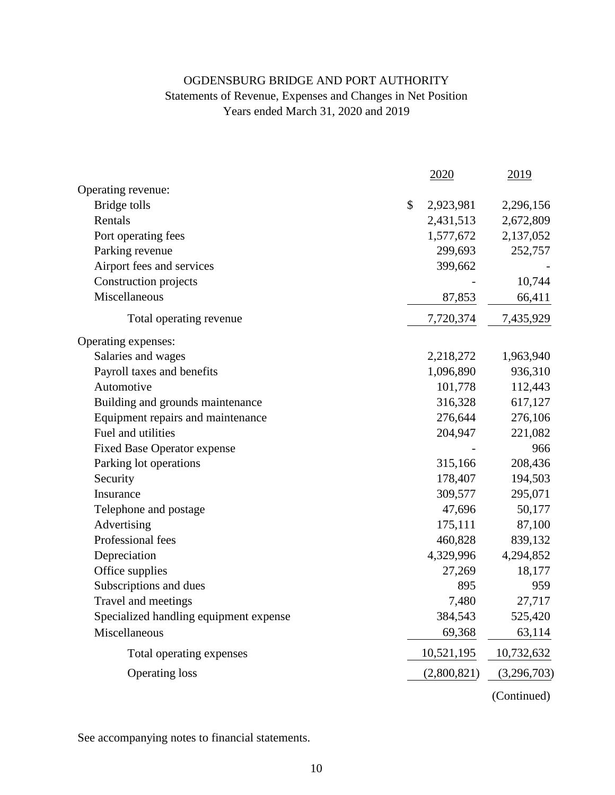# OGDENSBURG BRIDGE AND PORT AUTHORITY Statements of Revenue, Expenses and Changes in Net Position Years ended March 31, 2020 and 2019

|                                        | 2020            | 2019        |
|----------------------------------------|-----------------|-------------|
| Operating revenue:                     |                 |             |
| Bridge tolls                           | \$<br>2,923,981 | 2,296,156   |
| Rentals                                | 2,431,513       | 2,672,809   |
| Port operating fees                    | 1,577,672       | 2,137,052   |
| Parking revenue                        | 299,693         | 252,757     |
| Airport fees and services              | 399,662         |             |
| Construction projects                  |                 | 10,744      |
| Miscellaneous                          | 87,853          | 66,411      |
| Total operating revenue                | 7,720,374       | 7,435,929   |
| Operating expenses:                    |                 |             |
| Salaries and wages                     | 2,218,272       | 1,963,940   |
| Payroll taxes and benefits             | 1,096,890       | 936,310     |
| Automotive                             | 101,778         | 112,443     |
| Building and grounds maintenance       | 316,328         | 617,127     |
| Equipment repairs and maintenance      | 276,644         | 276,106     |
| Fuel and utilities                     | 204,947         | 221,082     |
| <b>Fixed Base Operator expense</b>     |                 | 966         |
| Parking lot operations                 | 315,166         | 208,436     |
| Security                               | 178,407         | 194,503     |
| Insurance                              | 309,577         | 295,071     |
| Telephone and postage                  | 47,696          | 50,177      |
| Advertising                            | 175,111         | 87,100      |
| Professional fees                      | 460,828         | 839,132     |
| Depreciation                           | 4,329,996       | 4,294,852   |
| Office supplies                        | 27,269          | 18,177      |
| Subscriptions and dues                 | 895             | 959         |
| Travel and meetings                    | 7,480           | 27,717      |
| Specialized handling equipment expense | 384,543         | 525,420     |
| Miscellaneous                          | 69,368          | 63,114      |
| Total operating expenses               | 10,521,195      | 10,732,632  |
| <b>Operating loss</b>                  | (2,800,821)     | (3,296,703) |
|                                        |                 | (Continued) |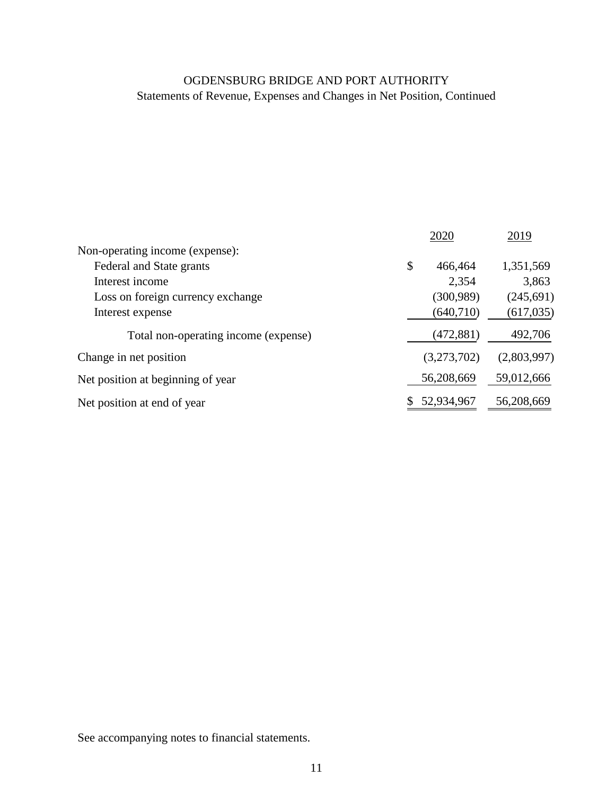# Statements of Revenue, Expenses and Changes in Net Position, Continued OGDENSBURG BRIDGE AND PORT AUTHORITY

|                                      | 2020          | 2019        |
|--------------------------------------|---------------|-------------|
| Non-operating income (expense):      |               |             |
| Federal and State grants             | \$<br>466,464 | 1,351,569   |
| Interest income                      | 2,354         | 3,863       |
| Loss on foreign currency exchange    | (300, 989)    | (245, 691)  |
| Interest expense                     | (640, 710)    | (617, 035)  |
| Total non-operating income (expense) | (472, 881)    | 492,706     |
| Change in net position               | (3,273,702)   | (2,803,997) |
| Net position at beginning of year    | 56,208,669    | 59,012,666  |
| Net position at end of year          | 52,934,967    | 56,208,669  |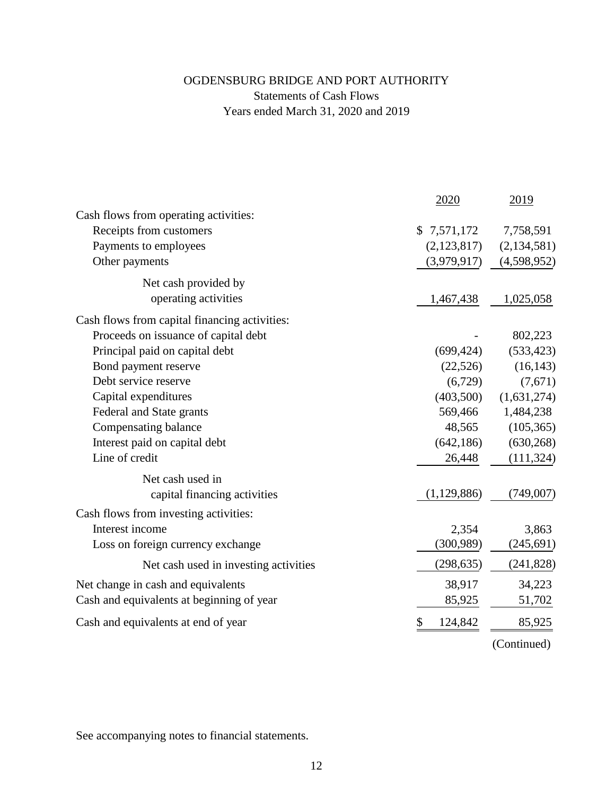# OGDENSBURG BRIDGE AND PORT AUTHORITY Statements of Cash Flows Years ended March 31, 2020 and 2019

|                                               | 2020          | 2019          |
|-----------------------------------------------|---------------|---------------|
| Cash flows from operating activities:         |               |               |
| Receipts from customers                       | \$7,571,172   | 7,758,591     |
| Payments to employees                         | (2,123,817)   | (2, 134, 581) |
| Other payments                                | (3,979,917)   | (4,598,952)   |
| Net cash provided by                          |               |               |
| operating activities                          | 1,467,438     | 1,025,058     |
| Cash flows from capital financing activities: |               |               |
| Proceeds on issuance of capital debt          |               | 802,223       |
| Principal paid on capital debt                | (699, 424)    | (533, 423)    |
| Bond payment reserve                          | (22, 526)     | (16, 143)     |
| Debt service reserve                          | (6,729)       | (7,671)       |
| Capital expenditures                          | (403,500)     | (1,631,274)   |
| Federal and State grants                      | 569,466       | 1,484,238     |
| Compensating balance                          | 48,565        | (105, 365)    |
| Interest paid on capital debt                 | (642, 186)    | (630, 268)    |
| Line of credit                                | 26,448        | (111, 324)    |
| Net cash used in                              |               |               |
| capital financing activities                  | (1,129,886)   | (749,007)     |
| Cash flows from investing activities:         |               |               |
| Interest income                               | 2,354         | 3,863         |
| Loss on foreign currency exchange             | (300, 989)    | (245, 691)    |
| Net cash used in investing activities         | (298, 635)    | (241, 828)    |
| Net change in cash and equivalents            | 38,917        | 34,223        |
| Cash and equivalents at beginning of year     | 85,925        | 51,702        |
| Cash and equivalents at end of year           | \$<br>124,842 | 85,925        |
|                                               |               | (Continued)   |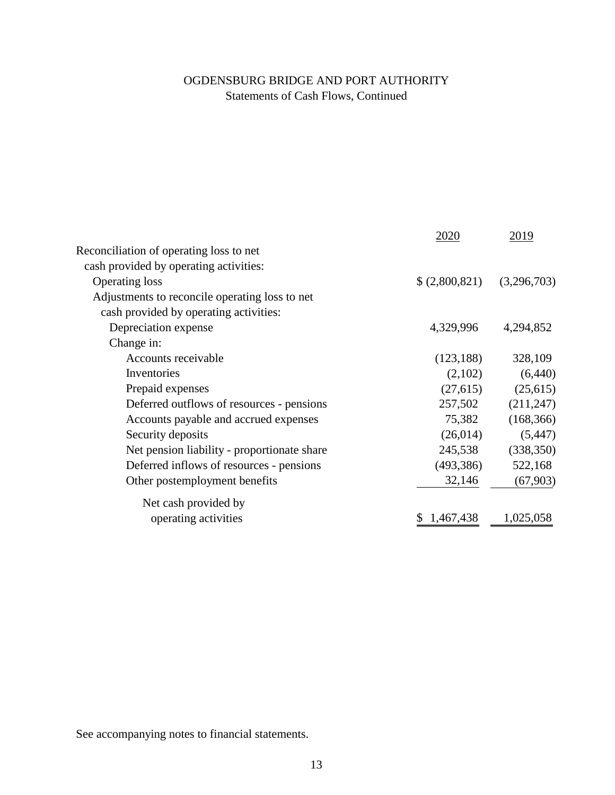# Statements of Cash Flows, Continued OGDENSBURG BRIDGE AND PORT AUTHORITY

|                                                | 2020          | 2019        |
|------------------------------------------------|---------------|-------------|
| Reconciliation of operating loss to net        |               |             |
| cash provided by operating activities:         |               |             |
| <b>Operating loss</b>                          | \$(2,800,821) | (3,296,703) |
| Adjustments to reconcile operating loss to net |               |             |
| cash provided by operating activities:         |               |             |
| Depreciation expense                           | 4,329,996     | 4,294,852   |
| Change in:                                     |               |             |
| Accounts receivable                            | (123, 188)    | 328,109     |
| Inventories                                    | (2,102)       | (6,440)     |
| Prepaid expenses                               | (27, 615)     | (25, 615)   |
| Deferred outflows of resources - pensions      | 257,502       | (211, 247)  |
| Accounts payable and accrued expenses          | 75,382        | (168, 366)  |
| Security deposits                              | (26, 014)     | (5, 447)    |
| Net pension liability - proportionate share    | 245,538       | (338, 350)  |
| Deferred inflows of resources - pensions       | (493, 386)    | 522,168     |
| Other postemployment benefits                  | 32,146        | (67, 903)   |
| Net cash provided by                           |               |             |
| operating activities                           | \$1,467,438   | 1,025,058   |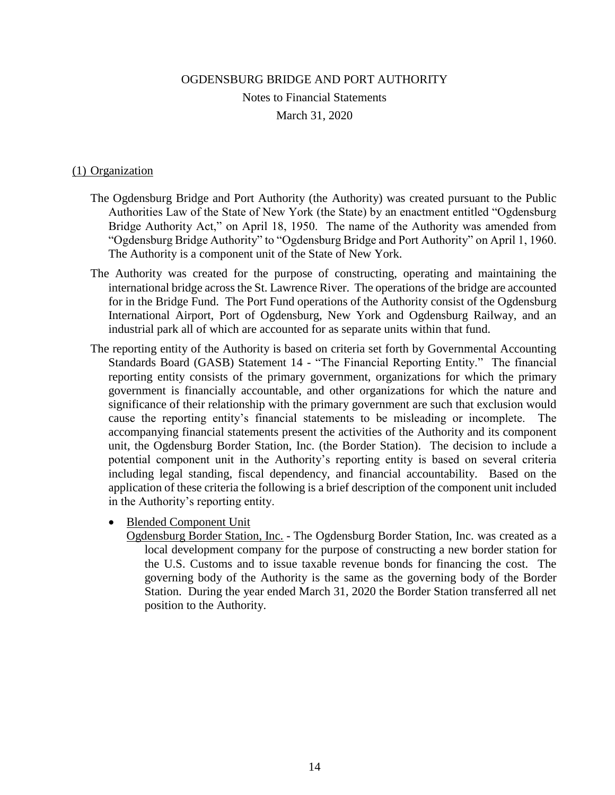OGDENSBURG BRIDGE AND PORT AUTHORITY Notes to Financial Statements March 31, 2020

# (1) Organization

- The Ogdensburg Bridge and Port Authority (the Authority) was created pursuant to the Public Authorities Law of the State of New York (the State) by an enactment entitled "Ogdensburg Bridge Authority Act," on April 18, 1950. The name of the Authority was amended from "Ogdensburg Bridge Authority" to "Ogdensburg Bridge and Port Authority" on April 1, 1960. The Authority is a component unit of the State of New York.
- The Authority was created for the purpose of constructing, operating and maintaining the international bridge across the St. Lawrence River. The operations of the bridge are accounted for in the Bridge Fund. The Port Fund operations of the Authority consist of the Ogdensburg International Airport, Port of Ogdensburg, New York and Ogdensburg Railway, and an industrial park all of which are accounted for as separate units within that fund.
- The reporting entity of the Authority is based on criteria set forth by Governmental Accounting Standards Board (GASB) Statement 14 - "The Financial Reporting Entity." The financial reporting entity consists of the primary government, organizations for which the primary government is financially accountable, and other organizations for which the nature and significance of their relationship with the primary government are such that exclusion would cause the reporting entity's financial statements to be misleading or incomplete. The accompanying financial statements present the activities of the Authority and its component unit, the Ogdensburg Border Station, Inc. (the Border Station). The decision to include a potential component unit in the Authority's reporting entity is based on several criteria including legal standing, fiscal dependency, and financial accountability. Based on the application of these criteria the following is a brief description of the component unit included in the Authority's reporting entity.
	- Blended Component Unit

Ogdensburg Border Station, Inc. - The Ogdensburg Border Station, Inc. was created as a local development company for the purpose of constructing a new border station for the U.S. Customs and to issue taxable revenue bonds for financing the cost. The governing body of the Authority is the same as the governing body of the Border Station. During the year ended March 31, 2020 the Border Station transferred all net position to the Authority.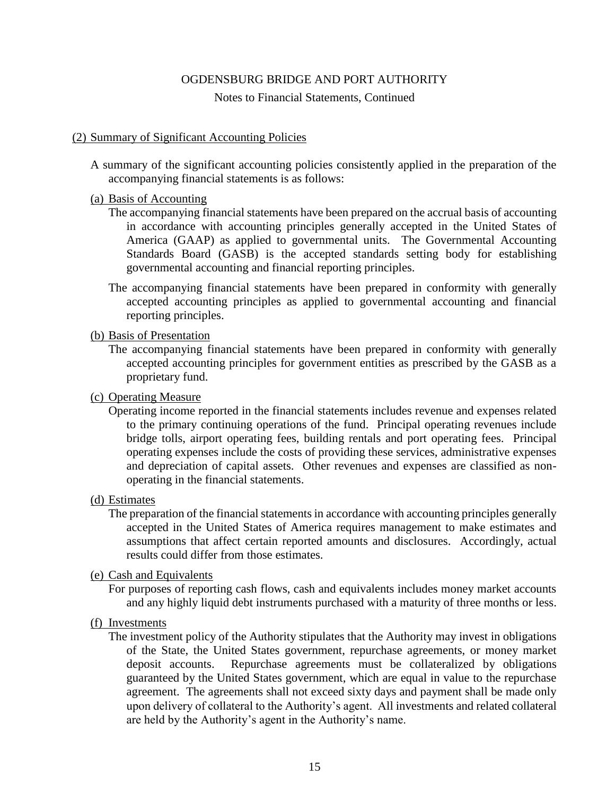#### Notes to Financial Statements, Continued

#### (2) Summary of Significant Accounting Policies

A summary of the significant accounting policies consistently applied in the preparation of the accompanying financial statements is as follows:

#### (a) Basis of Accounting

- The accompanying financial statements have been prepared on the accrual basis of accounting in accordance with accounting principles generally accepted in the United States of America (GAAP) as applied to governmental units. The Governmental Accounting Standards Board (GASB) is the accepted standards setting body for establishing governmental accounting and financial reporting principles.
- The accompanying financial statements have been prepared in conformity with generally accepted accounting principles as applied to governmental accounting and financial reporting principles.

### (b) Basis of Presentation

The accompanying financial statements have been prepared in conformity with generally accepted accounting principles for government entities as prescribed by the GASB as a proprietary fund.

# (c) Operating Measure

Operating income reported in the financial statements includes revenue and expenses related to the primary continuing operations of the fund. Principal operating revenues include bridge tolls, airport operating fees, building rentals and port operating fees. Principal operating expenses include the costs of providing these services, administrative expenses and depreciation of capital assets. Other revenues and expenses are classified as nonoperating in the financial statements.

#### (d) Estimates

The preparation of the financial statements in accordance with accounting principles generally accepted in the United States of America requires management to make estimates and assumptions that affect certain reported amounts and disclosures. Accordingly, actual results could differ from those estimates.

#### (e) Cash and Equivalents

For purposes of reporting cash flows, cash and equivalents includes money market accounts and any highly liquid debt instruments purchased with a maturity of three months or less.

#### (f) Investments

The investment policy of the Authority stipulates that the Authority may invest in obligations of the State, the United States government, repurchase agreements, or money market deposit accounts. Repurchase agreements must be collateralized by obligations guaranteed by the United States government, which are equal in value to the repurchase agreement. The agreements shall not exceed sixty days and payment shall be made only upon delivery of collateral to the Authority's agent. All investments and related collateral are held by the Authority's agent in the Authority's name.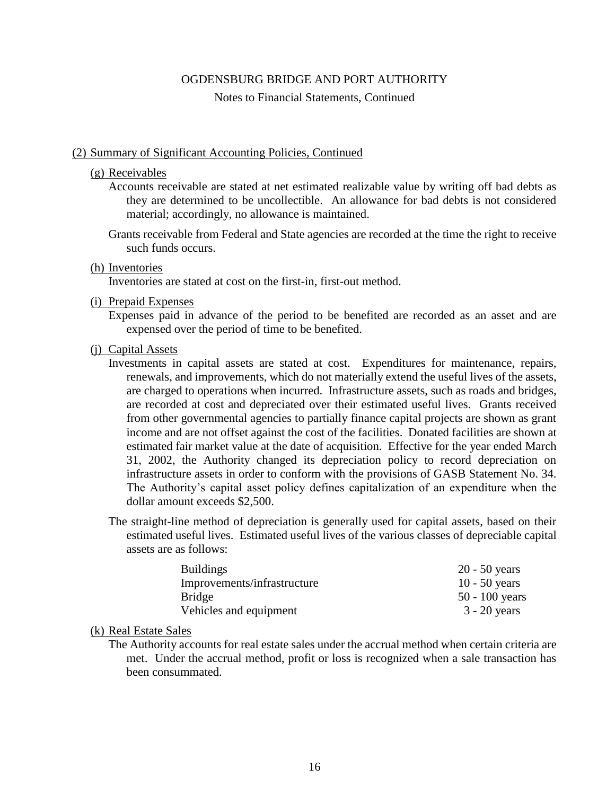Notes to Financial Statements, Continued

#### (2) Summary of Significant Accounting Policies, Continued

#### (g) Receivables

- Accounts receivable are stated at net estimated realizable value by writing off bad debts as they are determined to be uncollectible. An allowance for bad debts is not considered material; accordingly, no allowance is maintained.
- Grants receivable from Federal and State agencies are recorded at the time the right to receive such funds occurs.

#### (h) Inventories

Inventories are stated at cost on the first-in, first-out method.

#### (i) Prepaid Expenses

Expenses paid in advance of the period to be benefited are recorded as an asset and are expensed over the period of time to be benefited.

#### (j) Capital Assets

- Investments in capital assets are stated at cost. Expenditures for maintenance, repairs, renewals, and improvements, which do not materially extend the useful lives of the assets, are charged to operations when incurred. Infrastructure assets, such as roads and bridges, are recorded at cost and depreciated over their estimated useful lives. Grants received from other governmental agencies to partially finance capital projects are shown as grant income and are not offset against the cost of the facilities. Donated facilities are shown at estimated fair market value at the date of acquisition. Effective for the year ended March 31, 2002, the Authority changed its depreciation policy to record depreciation on infrastructure assets in order to conform with the provisions of GASB Statement No. 34. The Authority's capital asset policy defines capitalization of an expenditure when the dollar amount exceeds \$2,500.
- The straight-line method of depreciation is generally used for capital assets, based on their estimated useful lives. Estimated useful lives of the various classes of depreciable capital assets are as follows:

| <b>Buildings</b>            | $20 - 50$ years  |
|-----------------------------|------------------|
| Improvements/infrastructure | $10 - 50$ years  |
| <b>Bridge</b>               | $50 - 100$ years |
| Vehicles and equipment      | $3 - 20$ years   |

### (k) Real Estate Sales

The Authority accounts for real estate sales under the accrual method when certain criteria are met. Under the accrual method, profit or loss is recognized when a sale transaction has been consummated.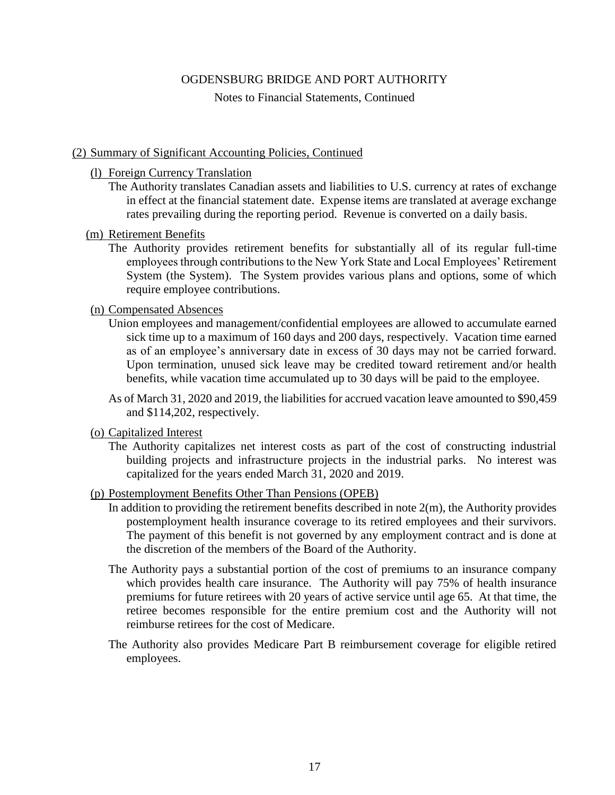Notes to Financial Statements, Continued

## (2) Summary of Significant Accounting Policies, Continued

### (l) Foreign Currency Translation

The Authority translates Canadian assets and liabilities to U.S. currency at rates of exchange in effect at the financial statement date. Expense items are translated at average exchange rates prevailing during the reporting period. Revenue is converted on a daily basis.

# (m) Retirement Benefits

The Authority provides retirement benefits for substantially all of its regular full-time employees through contributions to the New York State and Local Employees' Retirement System (the System). The System provides various plans and options, some of which require employee contributions.

## (n) Compensated Absences

Union employees and management/confidential employees are allowed to accumulate earned sick time up to a maximum of 160 days and 200 days, respectively. Vacation time earned as of an employee's anniversary date in excess of 30 days may not be carried forward. Upon termination, unused sick leave may be credited toward retirement and/or health benefits, while vacation time accumulated up to 30 days will be paid to the employee.

As of March 31, 2020 and 2019, the liabilities for accrued vacation leave amounted to \$90,459 and \$114,202, respectively.

### (o) Capitalized Interest

The Authority capitalizes net interest costs as part of the cost of constructing industrial building projects and infrastructure projects in the industrial parks. No interest was capitalized for the years ended March 31, 2020 and 2019.

### (p) Postemployment Benefits Other Than Pensions (OPEB)

- In addition to providing the retirement benefits described in note  $2(m)$ , the Authority provides postemployment health insurance coverage to its retired employees and their survivors. The payment of this benefit is not governed by any employment contract and is done at the discretion of the members of the Board of the Authority.
- The Authority pays a substantial portion of the cost of premiums to an insurance company which provides health care insurance. The Authority will pay 75% of health insurance premiums for future retirees with 20 years of active service until age 65. At that time, the retiree becomes responsible for the entire premium cost and the Authority will not reimburse retirees for the cost of Medicare.
- The Authority also provides Medicare Part B reimbursement coverage for eligible retired employees.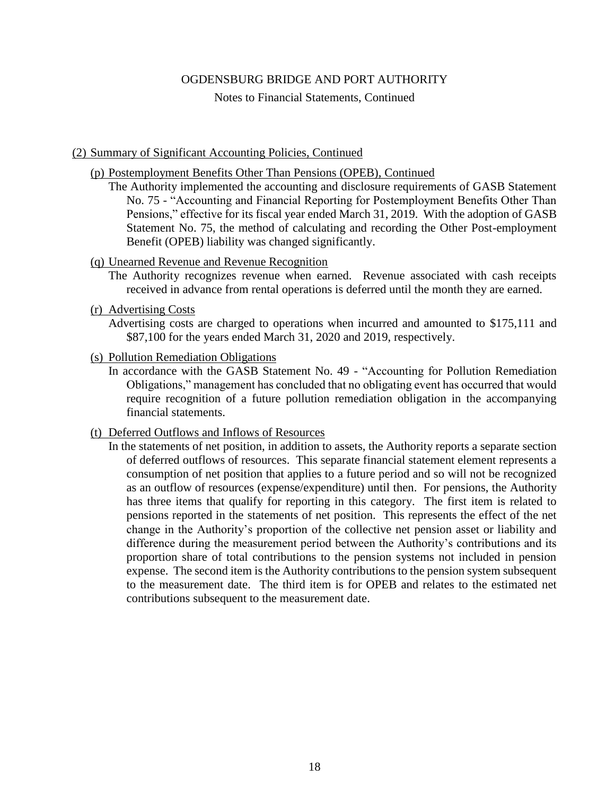Notes to Financial Statements, Continued

## (2) Summary of Significant Accounting Policies, Continued

(p) Postemployment Benefits Other Than Pensions (OPEB), Continued

The Authority implemented the accounting and disclosure requirements of GASB Statement No. 75 - "Accounting and Financial Reporting for Postemployment Benefits Other Than Pensions," effective for its fiscal year ended March 31, 2019. With the adoption of GASB Statement No. 75, the method of calculating and recording the Other Post-employment Benefit (OPEB) liability was changed significantly.

## (q) Unearned Revenue and Revenue Recognition

- The Authority recognizes revenue when earned. Revenue associated with cash receipts received in advance from rental operations is deferred until the month they are earned.
- (r) Advertising Costs

Advertising costs are charged to operations when incurred and amounted to \$175,111 and \$87,100 for the years ended March 31, 2020 and 2019, respectively.

- (s) Pollution Remediation Obligations
	- In accordance with the GASB Statement No. 49 "Accounting for Pollution Remediation Obligations," management has concluded that no obligating event has occurred that would require recognition of a future pollution remediation obligation in the accompanying financial statements.
- (t) Deferred Outflows and Inflows of Resources
	- In the statements of net position, in addition to assets, the Authority reports a separate section of deferred outflows of resources. This separate financial statement element represents a consumption of net position that applies to a future period and so will not be recognized as an outflow of resources (expense/expenditure) until then. For pensions, the Authority has three items that qualify for reporting in this category. The first item is related to pensions reported in the statements of net position. This represents the effect of the net change in the Authority's proportion of the collective net pension asset or liability and difference during the measurement period between the Authority's contributions and its proportion share of total contributions to the pension systems not included in pension expense. The second item is the Authority contributions to the pension system subsequent to the measurement date. The third item is for OPEB and relates to the estimated net contributions subsequent to the measurement date.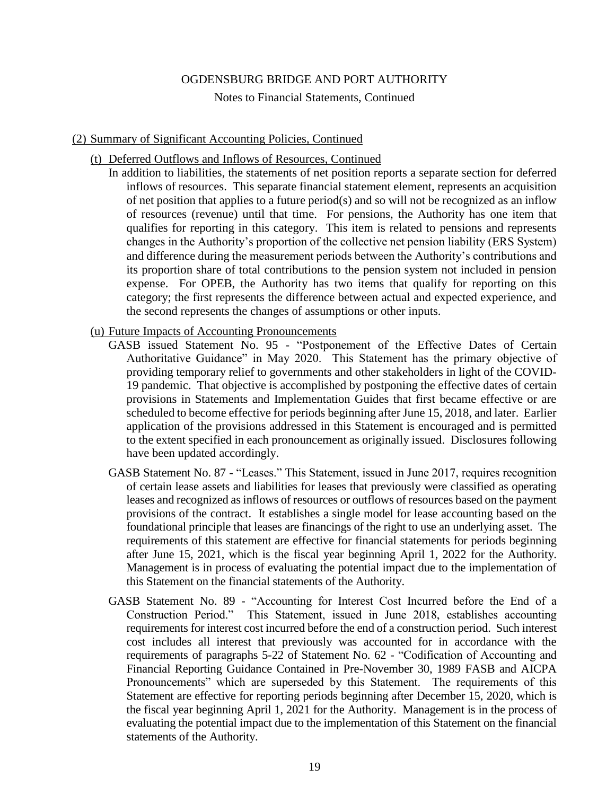Notes to Financial Statements, Continued

#### (2) Summary of Significant Accounting Policies, Continued

- (t) Deferred Outflows and Inflows of Resources, Continued
	- In addition to liabilities, the statements of net position reports a separate section for deferred inflows of resources. This separate financial statement element, represents an acquisition of net position that applies to a future period(s) and so will not be recognized as an inflow of resources (revenue) until that time. For pensions, the Authority has one item that qualifies for reporting in this category. This item is related to pensions and represents changes in the Authority's proportion of the collective net pension liability (ERS System) and difference during the measurement periods between the Authority's contributions and its proportion share of total contributions to the pension system not included in pension expense. For OPEB, the Authority has two items that qualify for reporting on this category; the first represents the difference between actual and expected experience, and the second represents the changes of assumptions or other inputs.
- (u) Future Impacts of Accounting Pronouncements
	- GASB issued Statement No. 95 "Postponement of the Effective Dates of Certain Authoritative Guidance" in May 2020. This Statement has the primary objective of providing temporary relief to governments and other stakeholders in light of the COVID-19 pandemic. That objective is accomplished by postponing the effective dates of certain provisions in Statements and Implementation Guides that first became effective or are scheduled to become effective for periods beginning after June 15, 2018, and later. Earlier application of the provisions addressed in this Statement is encouraged and is permitted to the extent specified in each pronouncement as originally issued. Disclosures following have been updated accordingly.
	- GASB Statement No. 87 "Leases." This Statement, issued in June 2017, requires recognition of certain lease assets and liabilities for leases that previously were classified as operating leases and recognized as inflows of resources or outflows of resources based on the payment provisions of the contract. It establishes a single model for lease accounting based on the foundational principle that leases are financings of the right to use an underlying asset. The requirements of this statement are effective for financial statements for periods beginning after June 15, 2021, which is the fiscal year beginning April 1, 2022 for the Authority. Management is in process of evaluating the potential impact due to the implementation of this Statement on the financial statements of the Authority.
	- GASB Statement No. 89 "Accounting for Interest Cost Incurred before the End of a Construction Period." This Statement, issued in June 2018, establishes accounting requirements for interest cost incurred before the end of a construction period. Such interest cost includes all interest that previously was accounted for in accordance with the requirements of paragraphs 5-22 of Statement No. 62 - "Codification of Accounting and Financial Reporting Guidance Contained in Pre-November 30, 1989 FASB and AICPA Pronouncements" which are superseded by this Statement. The requirements of this Statement are effective for reporting periods beginning after December 15, 2020, which is the fiscal year beginning April 1, 2021 for the Authority. Management is in the process of evaluating the potential impact due to the implementation of this Statement on the financial statements of the Authority.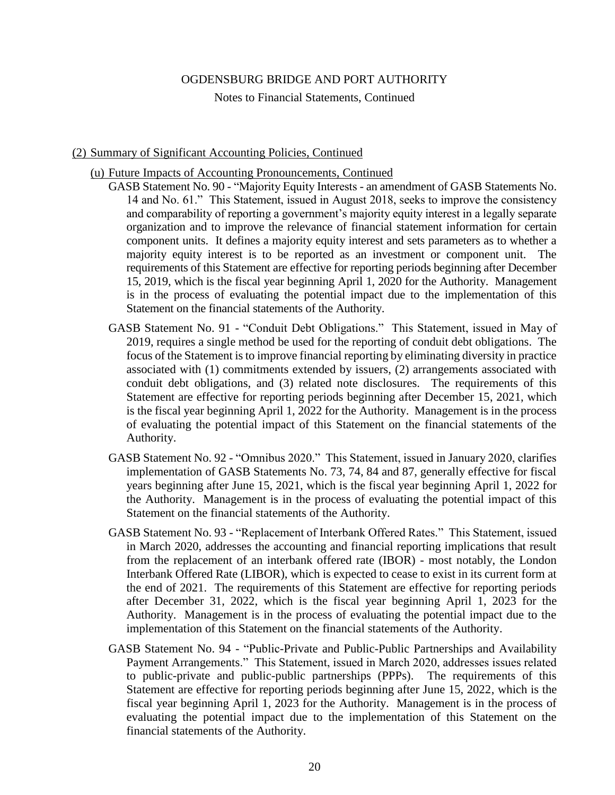Notes to Financial Statements, Continued

### (2) Summary of Significant Accounting Policies, Continued

- (u) Future Impacts of Accounting Pronouncements, Continued
	- GASB Statement No. 90 "Majority Equity Interests an amendment of GASB Statements No. 14 and No. 61." This Statement, issued in August 2018, seeks to improve the consistency and comparability of reporting a government's majority equity interest in a legally separate organization and to improve the relevance of financial statement information for certain component units. It defines a majority equity interest and sets parameters as to whether a majority equity interest is to be reported as an investment or component unit. The requirements of this Statement are effective for reporting periods beginning after December 15, 2019, which is the fiscal year beginning April 1, 2020 for the Authority. Management is in the process of evaluating the potential impact due to the implementation of this Statement on the financial statements of the Authority.
	- GASB Statement No. 91 "Conduit Debt Obligations." This Statement, issued in May of 2019, requires a single method be used for the reporting of conduit debt obligations. The focus of the Statement is to improve financial reporting by eliminating diversity in practice associated with (1) commitments extended by issuers, (2) arrangements associated with conduit debt obligations, and (3) related note disclosures. The requirements of this Statement are effective for reporting periods beginning after December 15, 2021, which is the fiscal year beginning April 1, 2022 for the Authority. Management is in the process of evaluating the potential impact of this Statement on the financial statements of the Authority.
	- GASB Statement No. 92 "Omnibus 2020." This Statement, issued in January 2020, clarifies implementation of GASB Statements No. 73, 74, 84 and 87, generally effective for fiscal years beginning after June 15, 2021, which is the fiscal year beginning April 1, 2022 for the Authority. Management is in the process of evaluating the potential impact of this Statement on the financial statements of the Authority.
	- GASB Statement No. 93 "Replacement of Interbank Offered Rates." This Statement, issued in March 2020, addresses the accounting and financial reporting implications that result from the replacement of an interbank offered rate (IBOR) - most notably, the London Interbank Offered Rate (LIBOR), which is expected to cease to exist in its current form at the end of 2021. The requirements of this Statement are effective for reporting periods after December 31, 2022, which is the fiscal year beginning April 1, 2023 for the Authority. Management is in the process of evaluating the potential impact due to the implementation of this Statement on the financial statements of the Authority.
	- GASB Statement No. 94 "Public-Private and Public-Public Partnerships and Availability Payment Arrangements." This Statement, issued in March 2020, addresses issues related to public-private and public-public partnerships (PPPs). The requirements of this Statement are effective for reporting periods beginning after June 15, 2022, which is the fiscal year beginning April 1, 2023 for the Authority. Management is in the process of evaluating the potential impact due to the implementation of this Statement on the financial statements of the Authority.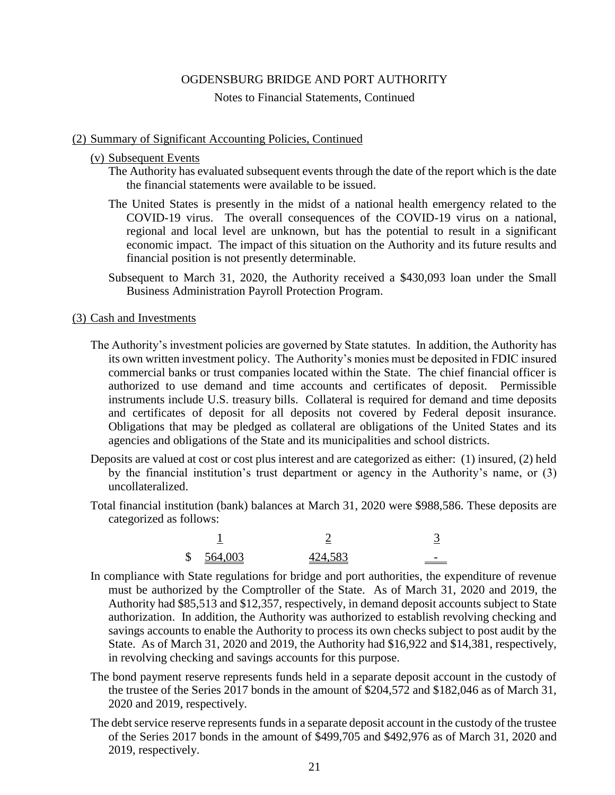#### Notes to Financial Statements, Continued

#### (2) Summary of Significant Accounting Policies, Continued

#### (v) Subsequent Events

The Authority has evaluated subsequent events through the date of the report which is the date the financial statements were available to be issued.

- The United States is presently in the midst of a national health emergency related to the COVID-19 virus. The overall consequences of the COVID-19 virus on a national, regional and local level are unknown, but has the potential to result in a significant economic impact. The impact of this situation on the Authority and its future results and financial position is not presently determinable.
- Subsequent to March 31, 2020, the Authority received a \$430,093 loan under the Small Business Administration Payroll Protection Program.

#### (3) Cash and Investments

- The Authority's investment policies are governed by State statutes. In addition, the Authority has its own written investment policy. The Authority's monies must be deposited in FDIC insured commercial banks or trust companies located within the State. The chief financial officer is authorized to use demand and time accounts and certificates of deposit. Permissible instruments include U.S. treasury bills. Collateral is required for demand and time deposits and certificates of deposit for all deposits not covered by Federal deposit insurance. Obligations that may be pledged as collateral are obligations of the United States and its agencies and obligations of the State and its municipalities and school districts.
- Deposits are valued at cost or cost plus interest and are categorized as either: (1) insured, (2) held by the financial institution's trust department or agency in the Authority's name, or (3) uncollateralized.
- Total financial institution (bank) balances at March 31, 2020 were \$988,586. These deposits are categorized as follows:

| $\mathbb{S}$ | 564,003 | 424,583 |  |
|--------------|---------|---------|--|

- In compliance with State regulations for bridge and port authorities, the expenditure of revenue must be authorized by the Comptroller of the State. As of March 31, 2020 and 2019, the Authority had \$85,513 and \$12,357, respectively, in demand deposit accounts subject to State authorization. In addition, the Authority was authorized to establish revolving checking and savings accounts to enable the Authority to process its own checks subject to post audit by the State. As of March 31, 2020 and 2019, the Authority had \$16,922 and \$14,381, respectively, in revolving checking and savings accounts for this purpose.
- The bond payment reserve represents funds held in a separate deposit account in the custody of the trustee of the Series 2017 bonds in the amount of \$204,572 and \$182,046 as of March 31, 2020 and 2019, respectively.
- The debt service reserve represents funds in a separate deposit account in the custody of the trustee of the Series 2017 bonds in the amount of \$499,705 and \$492,976 as of March 31, 2020 and 2019, respectively.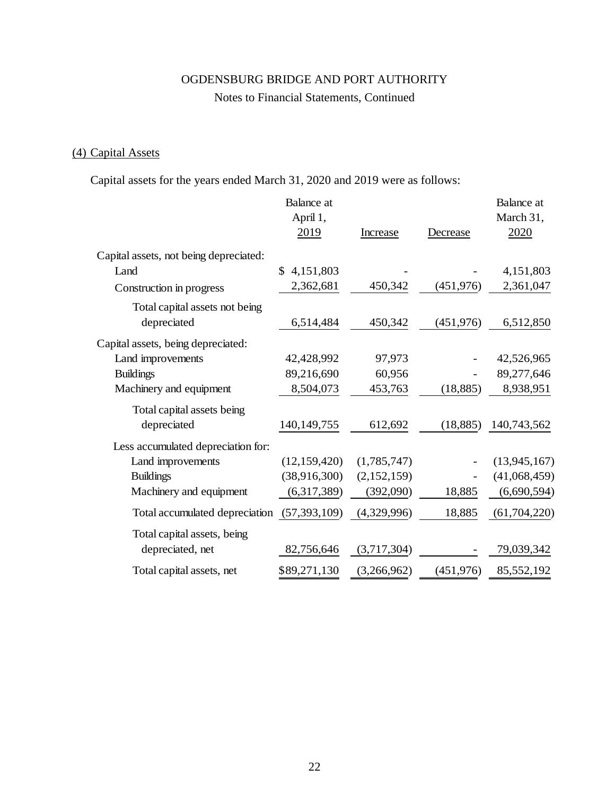# Notes to Financial Statements, Continued

# (4) Capital Assets

Capital assets for the years ended March 31, 2020 and 2019 were as follows:

|                                             | Balance at      |             |            | Balance at     |
|---------------------------------------------|-----------------|-------------|------------|----------------|
|                                             | April 1,        |             |            | March 31,      |
|                                             | 2019            | Increase    | Decrease   | 2020           |
| Capital assets, not being depreciated:      |                 |             |            |                |
| Land                                        | 4,151,803<br>S. |             |            | 4,151,803      |
| Construction in progress                    | 2,362,681       | 450,342     | (451, 976) | 2,361,047      |
| Total capital assets not being              |                 |             |            |                |
| depreciated                                 | 6,514,484       | 450,342     | (451, 976) | 6,512,850      |
| Capital assets, being depreciated:          |                 |             |            |                |
| Land improvements                           | 42,428,992      | 97,973      |            | 42,526,965     |
| <b>Buildings</b>                            | 89,216,690      | 60,956      |            | 89,277,646     |
| Machinery and equipment                     | 8,504,073       | 453,763     | (18, 885)  | 8,938,951      |
| Total capital assets being                  |                 |             |            |                |
| depreciated                                 | 140, 149, 755   | 612,692     | (18, 885)  | 140,743,562    |
| Less accumulated depreciation for:          |                 |             |            |                |
| Land improvements                           | (12, 159, 420)  | (1,785,747) |            | (13, 945, 167) |
| <b>Buildings</b>                            | (38,916,300)    | (2,152,159) |            | (41,068,459)   |
| Machinery and equipment                     | (6,317,389)     | (392,090)   | 18,885     | (6,690,594)    |
| Total accumulated depreciation (57,393,109) |                 | (4,329,996) | 18,885     | (61, 704, 220) |
| Total capital assets, being                 |                 |             |            |                |
| depreciated, net                            | 82,756,646      | (3,717,304) |            | 79,039,342     |
| Total capital assets, net                   | \$89,271,130    | (3,266,962) | (451, 976) | 85,552,192     |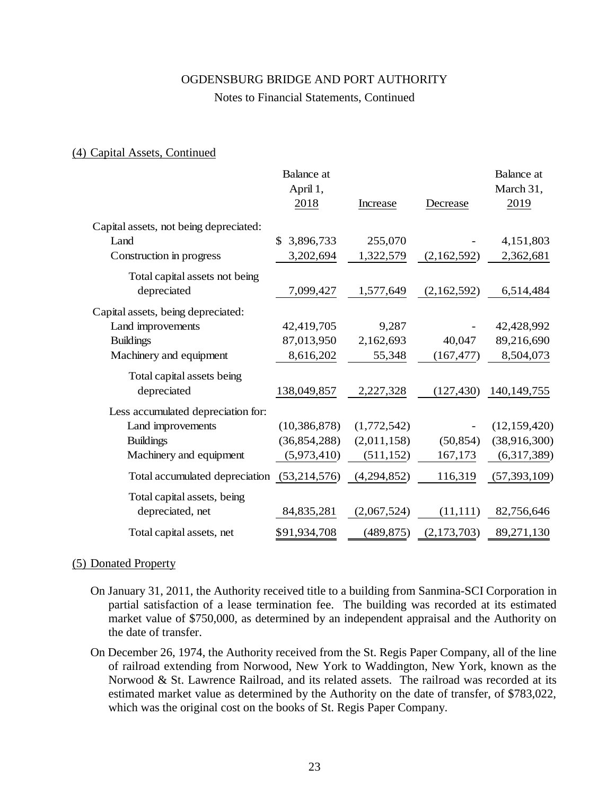#### Notes to Financial Statements, Continued

#### (4) Capital Assets, Continued

|                                             | <b>Balance</b> at |             |             | <b>Balance</b> at |
|---------------------------------------------|-------------------|-------------|-------------|-------------------|
|                                             | April 1,          |             |             | March 31,         |
|                                             | 2018              | Increase    | Decrease    | 2019              |
| Capital assets, not being depreciated:      |                   |             |             |                   |
| Land                                        | 3,896,733<br>\$.  | 255,070     |             | 4,151,803         |
| Construction in progress                    | 3,202,694         | 1,322,579   | (2,162,592) | 2,362,681         |
| Total capital assets not being              |                   |             |             |                   |
| depreciated                                 | 7,099,427         | 1,577,649   | (2,162,592) | 6,514,484         |
| Capital assets, being depreciated:          |                   |             |             |                   |
| Land improvements                           | 42,419,705        | 9,287       |             | 42,428,992        |
| <b>Buildings</b>                            | 87,013,950        | 2,162,693   | 40,047      | 89,216,690        |
| Machinery and equipment                     | 8,616,202         | 55,348      | (167, 477)  | 8,504,073         |
| Total capital assets being                  |                   |             |             |                   |
| depreciated                                 | 138,049,857       | 2,227,328   | (127, 430)  | 140, 149, 755     |
| Less accumulated depreciation for:          |                   |             |             |                   |
| Land improvements                           | (10, 386, 878)    | (1,772,542) |             | (12, 159, 420)    |
| <b>Buildings</b>                            | (36, 854, 288)    | (2,011,158) | (50, 854)   | (38,916,300)      |
| Machinery and equipment                     | (5,973,410)       | (511, 152)  | 167,173     | (6,317,389)       |
| Total accumulated depreciation (53,214,576) |                   | (4,294,852) | 116,319     | (57, 393, 109)    |
| Total capital assets, being                 |                   |             |             |                   |
| depreciated, net                            | 84, 835, 281      | (2,067,524) | (11, 111)   | 82,756,646        |
| Total capital assets, net                   | \$91,934,708      | (489, 875)  | (2,173,703) | 89,271,130        |

#### (5) Donated Property

- On January 31, 2011, the Authority received title to a building from Sanmina-SCI Corporation in partial satisfaction of a lease termination fee. The building was recorded at its estimated market value of \$750,000, as determined by an independent appraisal and the Authority on the date of transfer.
- On December 26, 1974, the Authority received from the St. Regis Paper Company, all of the line of railroad extending from Norwood, New York to Waddington, New York, known as the Norwood & St. Lawrence Railroad, and its related assets. The railroad was recorded at its estimated market value as determined by the Authority on the date of transfer, of \$783,022, which was the original cost on the books of St. Regis Paper Company.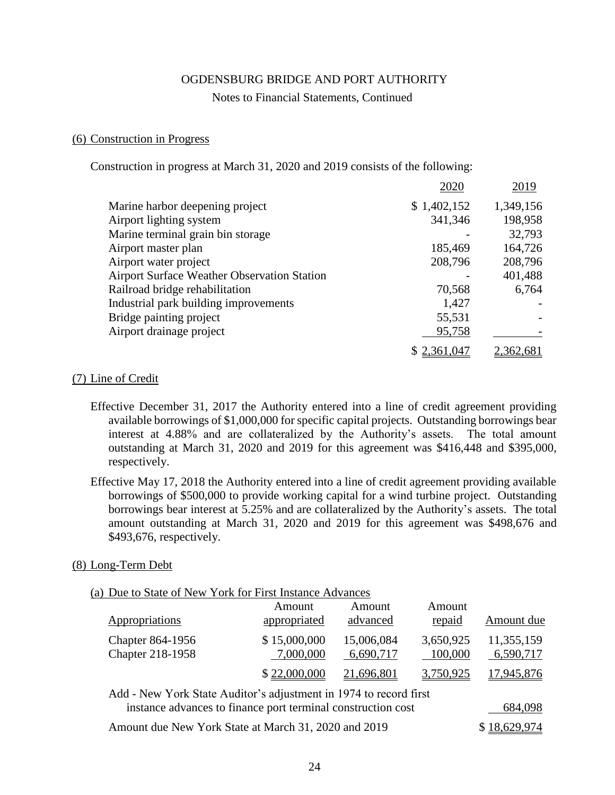#### Notes to Financial Statements, Continued

#### (6) Construction in Progress

Construction in progress at March 31, 2020 and 2019 consists of the following:

|                                             | 2020        | 2019      |
|---------------------------------------------|-------------|-----------|
| Marine harbor deepening project             | \$1,402,152 | 1,349,156 |
| Airport lighting system                     | 341,346     | 198,958   |
| Marine terminal grain bin storage           |             | 32,793    |
| Airport master plan                         | 185,469     | 164,726   |
| Airport water project                       | 208,796     | 208,796   |
| Airport Surface Weather Observation Station |             | 401,488   |
| Railroad bridge rehabilitation              | 70,568      | 6,764     |
| Industrial park building improvements       | 1,427       |           |
| Bridge painting project                     | 55,531      |           |
| Airport drainage project                    | 95,758      |           |
|                                             | \$2,361,047 |           |

### (7) Line of Credit

- Effective December 31, 2017 the Authority entered into a line of credit agreement providing available borrowings of \$1,000,000 for specific capital projects. Outstanding borrowings bear interest at 4.88% and are collateralized by the Authority's assets. The total amount outstanding at March 31, 2020 and 2019 for this agreement was \$416,448 and \$395,000, respectively.
- Effective May 17, 2018 the Authority entered into a line of credit agreement providing available borrowings of \$500,000 to provide working capital for a wind turbine project. Outstanding borrowings bear interest at 5.25% and are collateralized by the Authority's assets. The total amount outstanding at March 31, 2020 and 2019 for this agreement was \$498,676 and \$493,676, respectively.

#### (8) Long-Term Debt

| (a) Due to State of New York for First Instance Advances |  |
|----------------------------------------------------------|--|
|----------------------------------------------------------|--|

| Appropriations                                                     | Amount<br>appropriated    | Amount<br>advanced      | Amount<br>repaid     | Amount due              |
|--------------------------------------------------------------------|---------------------------|-------------------------|----------------------|-------------------------|
| Chapter 864-1956<br>Chapter 218-1958                               | \$15,000,000<br>7,000,000 | 15,006,084<br>6,690,717 | 3,650,925<br>100,000 | 11,355,159<br>6,590,717 |
|                                                                    | \$22,000,000              | 21,696,801              | 3,750,925            | 17.945,876              |
| A dd. Now Your State Anditor's adjustment in 1074 to reagard finat |                           |                         |                      |                         |

| Add - New York State Auditor's adjustment in 1974 to record first |              |
|-------------------------------------------------------------------|--------------|
| instance advances to finance port terminal construction cost      | 684,098      |
| Amount due New York State at March 31, 2020 and 2019              | \$18,629,974 |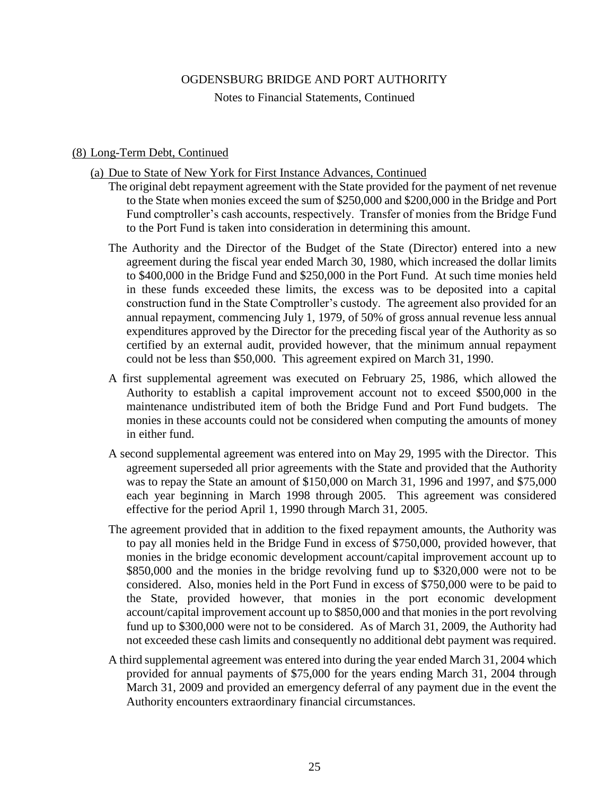Notes to Financial Statements, Continued

## (8) Long-Term Debt, Continued

- (a) Due to State of New York for First Instance Advances, Continued
	- The original debt repayment agreement with the State provided for the payment of net revenue to the State when monies exceed the sum of \$250,000 and \$200,000 in the Bridge and Port Fund comptroller's cash accounts, respectively. Transfer of monies from the Bridge Fund to the Port Fund is taken into consideration in determining this amount.
	- The Authority and the Director of the Budget of the State (Director) entered into a new agreement during the fiscal year ended March 30, 1980, which increased the dollar limits to \$400,000 in the Bridge Fund and \$250,000 in the Port Fund. At such time monies held in these funds exceeded these limits, the excess was to be deposited into a capital construction fund in the State Comptroller's custody. The agreement also provided for an annual repayment, commencing July 1, 1979, of 50% of gross annual revenue less annual expenditures approved by the Director for the preceding fiscal year of the Authority as so certified by an external audit, provided however, that the minimum annual repayment could not be less than \$50,000. This agreement expired on March 31, 1990.
	- A first supplemental agreement was executed on February 25, 1986, which allowed the Authority to establish a capital improvement account not to exceed \$500,000 in the maintenance undistributed item of both the Bridge Fund and Port Fund budgets. The monies in these accounts could not be considered when computing the amounts of money in either fund.
	- A second supplemental agreement was entered into on May 29, 1995 with the Director. This agreement superseded all prior agreements with the State and provided that the Authority was to repay the State an amount of \$150,000 on March 31, 1996 and 1997, and \$75,000 each year beginning in March 1998 through 2005. This agreement was considered effective for the period April 1, 1990 through March 31, 2005.
	- The agreement provided that in addition to the fixed repayment amounts, the Authority was to pay all monies held in the Bridge Fund in excess of \$750,000, provided however, that monies in the bridge economic development account/capital improvement account up to \$850,000 and the monies in the bridge revolving fund up to \$320,000 were not to be considered. Also, monies held in the Port Fund in excess of \$750,000 were to be paid to the State, provided however, that monies in the port economic development account/capital improvement account up to \$850,000 and that monies in the port revolving fund up to \$300,000 were not to be considered. As of March 31, 2009, the Authority had not exceeded these cash limits and consequently no additional debt payment was required.
	- A third supplemental agreement was entered into during the year ended March 31, 2004 which provided for annual payments of \$75,000 for the years ending March 31, 2004 through March 31, 2009 and provided an emergency deferral of any payment due in the event the Authority encounters extraordinary financial circumstances.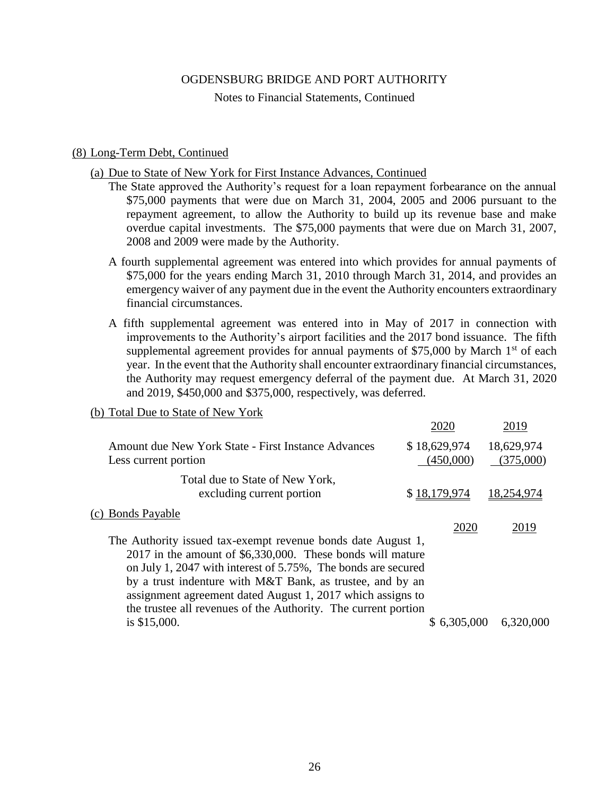Notes to Financial Statements, Continued

### (8) Long-Term Debt, Continued

- (a) Due to State of New York for First Instance Advances, Continued
	- The State approved the Authority's request for a loan repayment forbearance on the annual \$75,000 payments that were due on March 31, 2004, 2005 and 2006 pursuant to the repayment agreement, to allow the Authority to build up its revenue base and make overdue capital investments. The \$75,000 payments that were due on March 31, 2007, 2008 and 2009 were made by the Authority.
	- A fourth supplemental agreement was entered into which provides for annual payments of \$75,000 for the years ending March 31, 2010 through March 31, 2014, and provides an emergency waiver of any payment due in the event the Authority encounters extraordinary financial circumstances.
	- A fifth supplemental agreement was entered into in May of 2017 in connection with improvements to the Authority's airport facilities and the 2017 bond issuance. The fifth supplemental agreement provides for annual payments of \$75,000 by March  $1<sup>st</sup>$  of each year. In the event that the Authority shall encounter extraordinary financial circumstances, the Authority may request emergency deferral of the payment due. At March 31, 2020 and 2019, \$450,000 and \$375,000, respectively, was deferred.

#### (b) Total Due to State of New York

|                                                                | 2020         | 2019       |
|----------------------------------------------------------------|--------------|------------|
| Amount due New York State - First Instance Advances            | \$18,629,974 | 18,629,974 |
| Less current portion                                           | (450,000)    | (375,000)  |
| Total due to State of New York,                                |              |            |
| excluding current portion                                      | \$18,179,974 | 18,254,974 |
| (c) Bonds Payable                                              |              |            |
|                                                                | 2020         | 2019       |
| The Authority issued tax-exempt revenue bonds date August 1,   |              |            |
| 2017 in the amount of \$6,330,000. These bonds will mature     |              |            |
| on July 1, 2047 with interest of 5.75%, The bonds are secured  |              |            |
| by a trust indenture with M&T Bank, as trustee, and by an      |              |            |
| assignment agreement dated August 1, 2017 which assigns to     |              |            |
| the trustee all revenues of the Authority. The current portion |              |            |
| is \$15,000.                                                   | \$6,305,000  | 6,320,000  |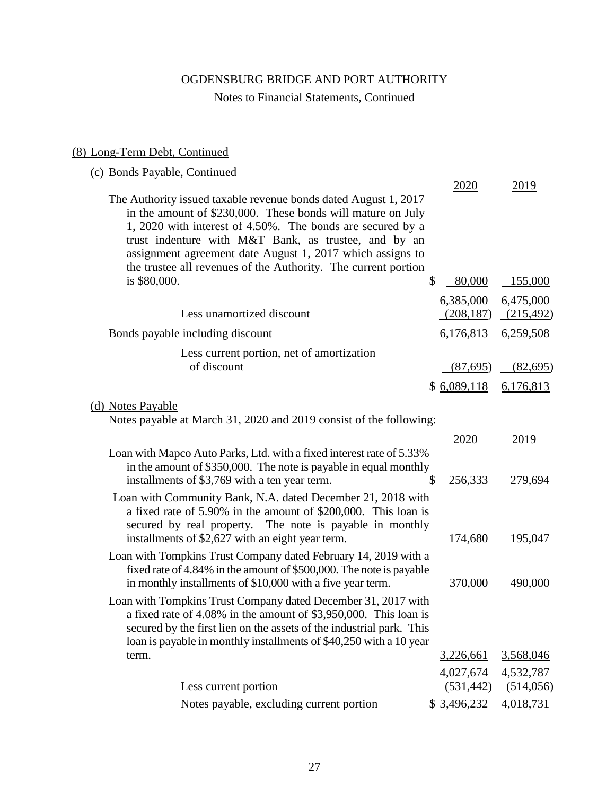# Notes to Financial Statements, Continued

# (8) Long-Term Debt, Continued

# (c) Bonds Payable, Continued

|                                                                                                                                                                                                                                                                                                                                                                                     | 2020                     | 2019                    |
|-------------------------------------------------------------------------------------------------------------------------------------------------------------------------------------------------------------------------------------------------------------------------------------------------------------------------------------------------------------------------------------|--------------------------|-------------------------|
| The Authority issued taxable revenue bonds dated August 1, 2017<br>in the amount of \$230,000. These bonds will mature on July<br>1, 2020 with interest of 4.50%. The bonds are secured by a<br>trust indenture with M&T Bank, as trustee, and by an<br>assignment agreement date August 1, 2017 which assigns to<br>the trustee all revenues of the Authority. The current portion |                          |                         |
| is \$80,000.                                                                                                                                                                                                                                                                                                                                                                        | \$<br>80,000             | 155,000                 |
| Less unamortized discount                                                                                                                                                                                                                                                                                                                                                           | 6,385,000<br>(208, 187)  | 6,475,000<br>(215, 492) |
| Bonds payable including discount                                                                                                                                                                                                                                                                                                                                                    | 6,176,813                | 6,259,508               |
| Less current portion, net of amortization<br>of discount                                                                                                                                                                                                                                                                                                                            | (87, 695)<br>\$6,089,118 | (82,695)<br>6,176,813   |
|                                                                                                                                                                                                                                                                                                                                                                                     |                          |                         |
| (d) Notes Payable<br>Notes payable at March 31, 2020 and 2019 consist of the following:                                                                                                                                                                                                                                                                                             |                          |                         |
|                                                                                                                                                                                                                                                                                                                                                                                     | 2020                     | <u>2019</u>             |
| Loan with Mapco Auto Parks, Ltd. with a fixed interest rate of 5.33%<br>in the amount of \$350,000. The note is payable in equal monthly<br>installments of \$3,769 with a ten year term.                                                                                                                                                                                           | \$<br>256,333            | 279,694                 |
| Loan with Community Bank, N.A. dated December 21, 2018 with<br>a fixed rate of 5.90% in the amount of \$200,000. This loan is<br>secured by real property. The note is payable in monthly                                                                                                                                                                                           |                          |                         |
| installments of \$2,627 with an eight year term.                                                                                                                                                                                                                                                                                                                                    | 174,680                  | 195,047                 |
| Loan with Tompkins Trust Company dated February 14, 2019 with a<br>fixed rate of 4.84% in the amount of \$500,000. The note is payable<br>in monthly installments of \$10,000 with a five year term.                                                                                                                                                                                | 370,000                  | 490,000                 |
| Loan with Tompkins Trust Company dated December 31, 2017 with<br>a fixed rate of 4.08% in the amount of \$3,950,000. This loan is<br>secured by the first lien on the assets of the industrial park. This<br>loan is payable in monthly installments of \$40,250 with a 10 year                                                                                                     |                          |                         |
| term.                                                                                                                                                                                                                                                                                                                                                                               | 3,226,661                | 3,568,046               |
| Less current portion                                                                                                                                                                                                                                                                                                                                                                | 4,027,674<br>(531, 442)  | 4,532,787<br>(514,056)  |
| Notes payable, excluding current portion                                                                                                                                                                                                                                                                                                                                            | \$3,496,232              | 4,018,731               |
|                                                                                                                                                                                                                                                                                                                                                                                     |                          |                         |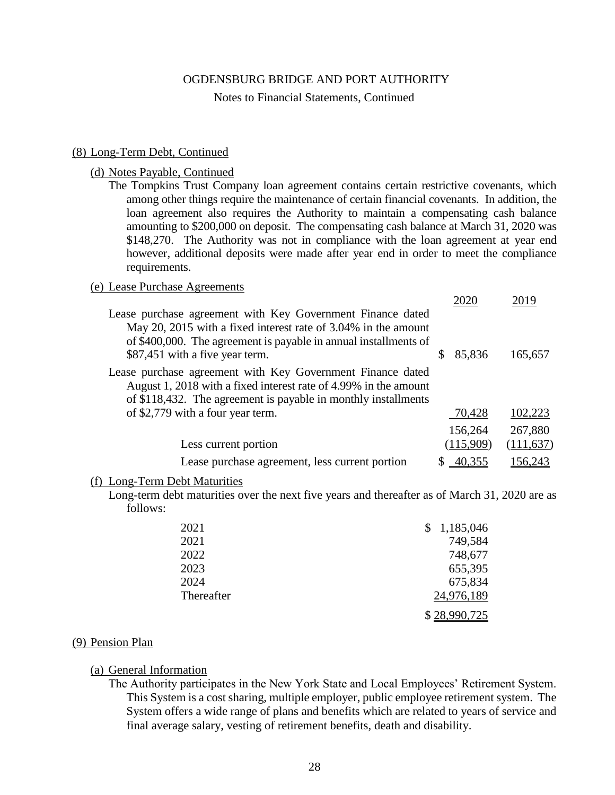#### Notes to Financial Statements, Continued

#### (8) Long-Term Debt, Continued

### (d) Notes Payable, Continued

The Tompkins Trust Company loan agreement contains certain restrictive covenants, which among other things require the maintenance of certain financial covenants. In addition, the loan agreement also requires the Authority to maintain a compensating cash balance amounting to \$200,000 on deposit. The compensating cash balance at March 31, 2020 was \$148,270. The Authority was not in compliance with the loan agreement at year end however, additional deposits were made after year end in order to meet the compliance requirements.

# (e) Lease Purchase Agreements

|                                                                                                                                                                                                                                     |   | 202       | 2019       |
|-------------------------------------------------------------------------------------------------------------------------------------------------------------------------------------------------------------------------------------|---|-----------|------------|
| Lease purchase agreement with Key Government Finance dated<br>May 20, 2015 with a fixed interest rate of 3.04% in the amount<br>of \$400,000. The agreement is payable in annual installments of<br>\$87,451 with a five year term. | S | 85,836    | 165,657    |
| Lease purchase agreement with Key Government Finance dated<br>August 1, 2018 with a fixed interest rate of 4.99% in the amount<br>of \$118,432. The agreement is payable in monthly installments                                    |   |           |            |
| of \$2,779 with a four year term.                                                                                                                                                                                                   |   | 70,428    | 102,223    |
|                                                                                                                                                                                                                                     |   | 156,264   | 267,880    |
| Less current portion                                                                                                                                                                                                                |   | (115,909) | (111, 637) |
| Lease purchase agreement, less current portion                                                                                                                                                                                      |   |           | 156.243    |
|                                                                                                                                                                                                                                     |   |           |            |

#### (f) Long-Term Debt Maturities

Long-term debt maturities over the next five years and thereafter as of March 31, 2020 are as follows:

| 2021       | 1,185,046    |
|------------|--------------|
| 2021       | 749,584      |
| 2022       | 748,677      |
| 2023       | 655,395      |
| 2024       | 675,834      |
| Thereafter | 24,976,189   |
|            | \$28,990,725 |

#### (9) Pension Plan

#### (a) General Information

The Authority participates in the New York State and Local Employees' Retirement System. This System is a cost sharing, multiple employer, public employee retirement system. The System offers a wide range of plans and benefits which are related to years of service and final average salary, vesting of retirement benefits, death and disability.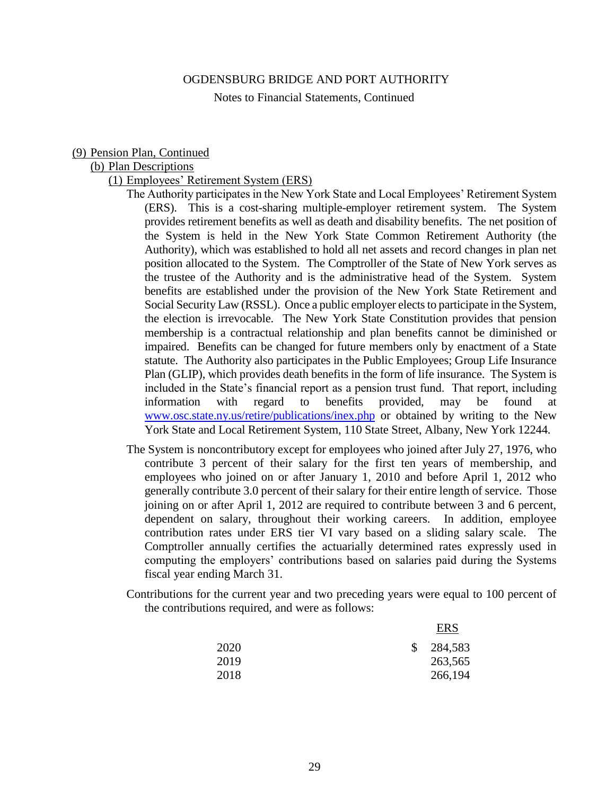Notes to Financial Statements, Continued

#### (9) Pension Plan, Continued

# (b) Plan Descriptions

#### (1) Employees' Retirement System (ERS)

The Authority participates in the New York State and Local Employees' Retirement System (ERS). This is a cost-sharing multiple-employer retirement system. The System provides retirement benefits as well as death and disability benefits. The net position of the System is held in the New York State Common Retirement Authority (the Authority), which was established to hold all net assets and record changes in plan net position allocated to the System. The Comptroller of the State of New York serves as the trustee of the Authority and is the administrative head of the System. System benefits are established under the provision of the New York State Retirement and Social Security Law (RSSL). Once a public employer elects to participate in the System, the election is irrevocable. The New York State Constitution provides that pension membership is a contractual relationship and plan benefits cannot be diminished or impaired. Benefits can be changed for future members only by enactment of a State statute. The Authority also participates in the Public Employees; Group Life Insurance Plan (GLIP), which provides death benefits in the form of life insurance. The System is included in the State's financial report as a pension trust fund. That report, including information with regard to benefits provided, may be found at [www.osc.state.ny.us/retire/publications/inex.php](http://www.osc.state.ny.us/retire/publications/inex.php) or obtained by writing to the New York State and Local Retirement System, 110 State Street, Albany, New York 12244.

- The System is noncontributory except for employees who joined after July 27, 1976, who contribute 3 percent of their salary for the first ten years of membership, and employees who joined on or after January 1, 2010 and before April 1, 2012 who generally contribute 3.0 percent of their salary for their entire length of service. Those joining on or after April 1, 2012 are required to contribute between 3 and 6 percent, dependent on salary, throughout their working careers. In addition, employee contribution rates under ERS tier VI vary based on a sliding salary scale. The Comptroller annually certifies the actuarially determined rates expressly used in computing the employers' contributions based on salaries paid during the Systems fiscal year ending March 31.
- Contributions for the current year and two preceding years were equal to 100 percent of the contributions required, and were as follows:

|      |               | <b>ERS</b> |
|------|---------------|------------|
| 2020 | <sup>\$</sup> | 284,583    |
| 2019 |               | 263,565    |
| 2018 |               | 266,194    |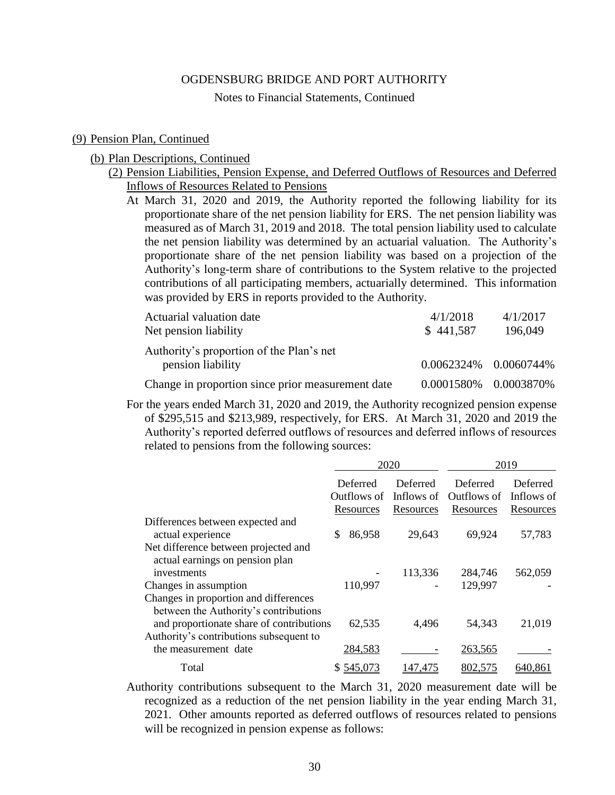Notes to Financial Statements, Continued

#### (9) Pension Plan, Continued

#### (b) Plan Descriptions, Continued

- (2) Pension Liabilities, Pension Expense, and Deferred Outflows of Resources and Deferred Inflows of Resources Related to Pensions
	- At March 31, 2020 and 2019, the Authority reported the following liability for its proportionate share of the net pension liability for ERS. The net pension liability was measured as of March 31, 2019 and 2018. The total pension liability used to calculate the net pension liability was determined by an actuarial valuation. The Authority's proportionate share of the net pension liability was based on a projection of the Authority's long-term share of contributions to the System relative to the projected contributions of all participating members, actuarially determined. This information was provided by ERS in reports provided to the Authority.

| Actuarial valuation date                          | 4/1/2018              | 4/1/2017 |
|---------------------------------------------------|-----------------------|----------|
| Net pension liability                             | \$441,587             | 196,049  |
| Authority's proportion of the Plan's net          |                       |          |
| pension liability                                 | 0.0062324% 0.0060744% |          |
| Change in proportion since prior measurement date | 0.0001580% 0.0003870% |          |

For the years ended March 31, 2020 and 2019, the Authority recognized pension expense of \$295,515 and \$213,989, respectively, for ERS. At March 31, 2020 and 2019 the Authority's reported deferred outflows of resources and deferred inflows of resources related to pensions from the following sources:

|                                                                                | 2020                    |                        | 2019                    |                               |
|--------------------------------------------------------------------------------|-------------------------|------------------------|-------------------------|-------------------------------|
|                                                                                | Deferred<br>Outflows of | Deferred<br>Inflows of | Deferred<br>Outflows of | <b>Deferred</b><br>Inflows of |
|                                                                                | Resources               | Resources              | Resources               | Resources                     |
| Differences between expected and                                               |                         |                        |                         |                               |
| actual experience                                                              | \$<br>86,958            | 29,643                 | 69,924                  | 57,783                        |
| Net difference between projected and<br>actual earnings on pension plan        |                         |                        |                         |                               |
| investments                                                                    |                         | 113,336                | 284,746                 | 562,059                       |
| Changes in assumption                                                          | 110,997                 |                        | 129,997                 |                               |
| Changes in proportion and differences<br>between the Authority's contributions |                         |                        |                         |                               |
| and proportionate share of contributions                                       | 62,535                  | 4,496                  | 54,343                  | 21,019                        |
| Authority's contributions subsequent to                                        |                         |                        |                         |                               |
| the measurement date                                                           | 284,583                 |                        | 263,565                 |                               |
| Total                                                                          | \$545,073               | 147.475                | 802,575                 | 640.861                       |

Authority contributions subsequent to the March 31, 2020 measurement date will be recognized as a reduction of the net pension liability in the year ending March 31, 2021. Other amounts reported as deferred outflows of resources related to pensions will be recognized in pension expense as follows: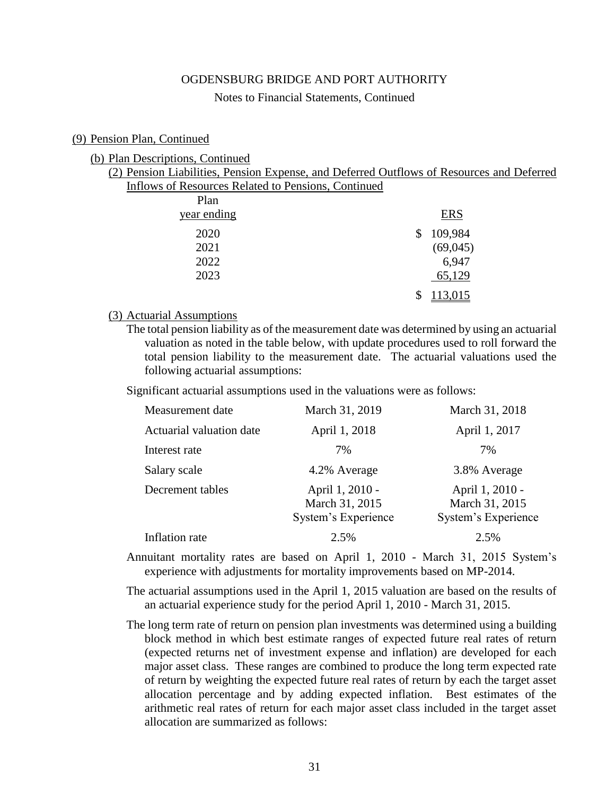#### Notes to Financial Statements, Continued

#### (9) Pension Plan, Continued

#### (b) Plan Descriptions, Continued

(2) Pension Liabilities, Pension Expense, and Deferred Outflows of Resources and Deferred Inflows of Resources Related to Pensions, Continued

| Plan        |               |
|-------------|---------------|
| year ending | <b>ERS</b>    |
| 2020        | \$<br>109,984 |
| 2021        | (69,045)      |
| 2022        | 6,947         |
| 2023        | 65,129        |
|             | 113,015       |

### (3) Actuarial Assumptions

The total pension liability as of the measurement date was determined by using an actuarial valuation as noted in the table below, with update procedures used to roll forward the total pension liability to the measurement date. The actuarial valuations used the following actuarial assumptions:

Significant actuarial assumptions used in the valuations were as follows:

| Measurement date         | March 31, 2019                                           | March 31, 2018                                           |
|--------------------------|----------------------------------------------------------|----------------------------------------------------------|
| Actuarial valuation date | April 1, 2018                                            | April 1, 2017                                            |
| Interest rate            | 7%                                                       | 7%                                                       |
| Salary scale             | 4.2% Average                                             | 3.8% Average                                             |
| Decrement tables         | April 1, 2010 -<br>March 31, 2015<br>System's Experience | April 1, 2010 -<br>March 31, 2015<br>System's Experience |
| Inflation rate           | 2.5%                                                     | 2.5%                                                     |

- Annuitant mortality rates are based on April 1, 2010 March 31, 2015 System's experience with adjustments for mortality improvements based on MP-2014.
- The actuarial assumptions used in the April 1, 2015 valuation are based on the results of an actuarial experience study for the period April 1, 2010 - March 31, 2015.
- The long term rate of return on pension plan investments was determined using a building block method in which best estimate ranges of expected future real rates of return (expected returns net of investment expense and inflation) are developed for each major asset class. These ranges are combined to produce the long term expected rate of return by weighting the expected future real rates of return by each the target asset allocation percentage and by adding expected inflation. Best estimates of the arithmetic real rates of return for each major asset class included in the target asset allocation are summarized as follows: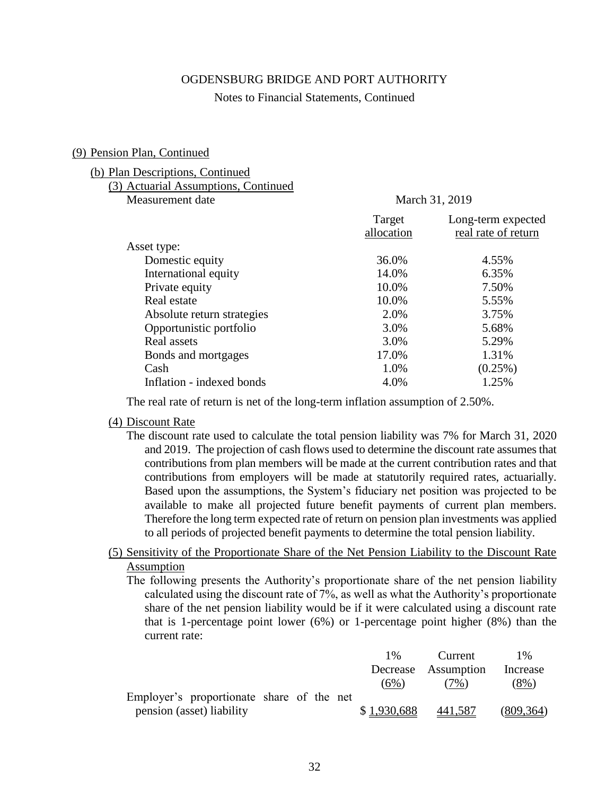#### Notes to Financial Statements, Continued

#### (9) Pension Plan, Continued

#### (b) Plan Descriptions, Continued

| (3) Actuarial Assumptions, Continued |
|--------------------------------------|
| Measurement date                     |

#### March 31, 2019

|                            | Target<br>allocation | Long-term expected<br>real rate of return |
|----------------------------|----------------------|-------------------------------------------|
| Asset type:                |                      |                                           |
| Domestic equity            | 36.0%                | 4.55%                                     |
| International equity       | 14.0%                | 6.35%                                     |
| Private equity             | 10.0%                | 7.50%                                     |
| Real estate                | 10.0%                | 5.55%                                     |
| Absolute return strategies | 2.0%                 | 3.75%                                     |
| Opportunistic portfolio    | 3.0%                 | 5.68%                                     |
| Real assets                | 3.0%                 | 5.29%                                     |
| Bonds and mortgages        | 17.0%                | 1.31%                                     |
| Cash                       | 1.0%                 | $(0.25\%)$                                |
| Inflation - indexed bonds  | 4.0%                 | 1.25%                                     |
|                            |                      |                                           |

The real rate of return is net of the long-term inflation assumption of 2.50%.

#### (4) Discount Rate

The discount rate used to calculate the total pension liability was 7% for March 31, 2020 and 2019. The projection of cash flows used to determine the discount rate assumes that contributions from plan members will be made at the current contribution rates and that contributions from employers will be made at statutorily required rates, actuarially. Based upon the assumptions, the System's fiduciary net position was projected to be available to make all projected future benefit payments of current plan members. Therefore the long term expected rate of return on pension plan investments was applied to all periods of projected benefit payments to determine the total pension liability.

# (5) Sensitivity of the Proportionate Share of the Net Pension Liability to the Discount Rate Assumption

The following presents the Authority's proportionate share of the net pension liability calculated using the discount rate of 7%, as well as what the Authority's proportionate share of the net pension liability would be if it were calculated using a discount rate that is 1-percentage point lower (6%) or 1-percentage point higher (8%) than the current rate:

|                                           | $1\%$       | Current             | $1\%$      |
|-------------------------------------------|-------------|---------------------|------------|
|                                           |             | Decrease Assumption | Increase   |
|                                           | (6%)        | (7%)                | $(8\%)$    |
| Employer's proportionate share of the net |             |                     |            |
| pension (asset) liability                 | \$1,930,688 | 441,587             | (809, 364) |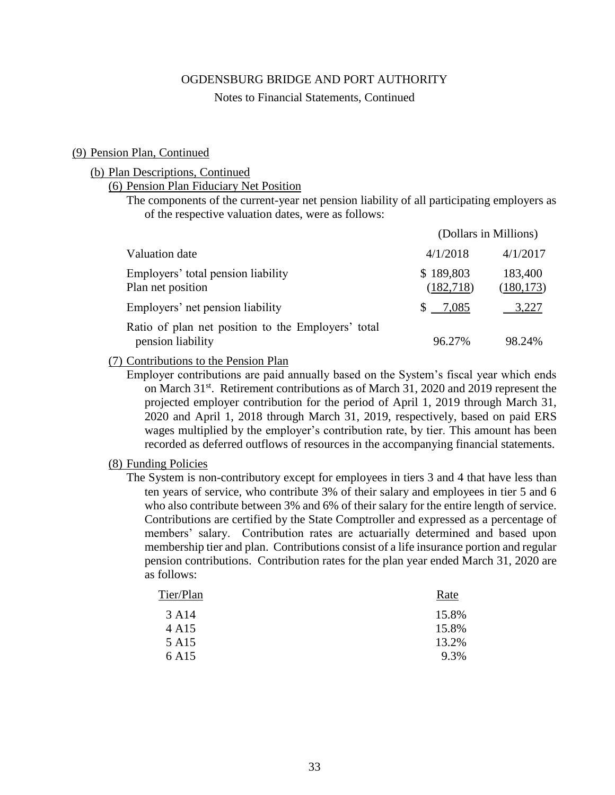#### Notes to Financial Statements, Continued

#### (9) Pension Plan, Continued

#### (b) Plan Descriptions, Continued

(6) Pension Plan Fiduciary Net Position

The components of the current-year net pension liability of all participating employers as of the respective valuation dates, were as follows:

|                                                                         | (Dollars in Millions)  |                       |  |
|-------------------------------------------------------------------------|------------------------|-----------------------|--|
| Valuation date                                                          | 4/1/2018               | 4/1/2017              |  |
| Employers' total pension liability<br>Plan net position                 | \$189,803<br>(182,718) | 183,400<br>(180, 173) |  |
| Employers' net pension liability                                        | 7,085                  | 3,227                 |  |
| Ratio of plan net position to the Employers' total<br>pension liability | 96.27%                 | 98.24%                |  |

## (7) Contributions to the Pension Plan

Employer contributions are paid annually based on the System's fiscal year which ends on March 31<sup>st</sup>. Retirement contributions as of March 31, 2020 and 2019 represent the projected employer contribution for the period of April 1, 2019 through March 31, 2020 and April 1, 2018 through March 31, 2019, respectively, based on paid ERS wages multiplied by the employer's contribution rate, by tier. This amount has been recorded as deferred outflows of resources in the accompanying financial statements.

#### (8) Funding Policies

The System is non-contributory except for employees in tiers 3 and 4 that have less than ten years of service, who contribute 3% of their salary and employees in tier 5 and 6 who also contribute between 3% and 6% of their salary for the entire length of service. Contributions are certified by the State Comptroller and expressed as a percentage of members' salary. Contribution rates are actuarially determined and based upon membership tier and plan. Contributions consist of a life insurance portion and regular pension contributions. Contribution rates for the plan year ended March 31, 2020 are as follows:

| Tier/Plan         | Rate  |
|-------------------|-------|
| 3 A14             | 15.8% |
| 4 A <sub>15</sub> | 15.8% |
| 5 A <sub>15</sub> | 13.2% |
| 6 A <sub>15</sub> | 9.3%  |
|                   |       |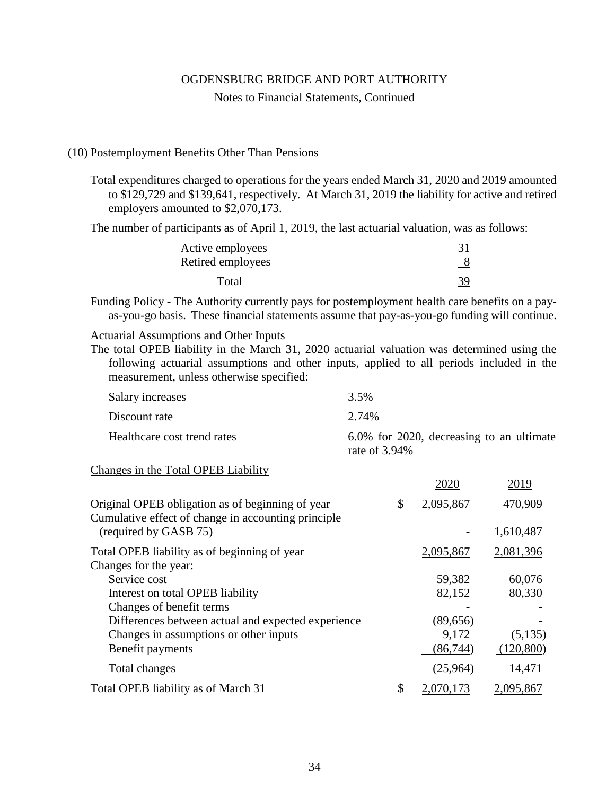#### Notes to Financial Statements, Continued

#### (10) Postemployment Benefits Other Than Pensions

Total expenditures charged to operations for the years ended March 31, 2020 and 2019 amounted to \$129,729 and \$139,641, respectively. At March 31, 2019 the liability for active and retired employers amounted to \$2,070,173.

The number of participants as of April 1, 2019, the last actuarial valuation, was as follows:

| Active employees  |            |
|-------------------|------------|
| Retired employees | <u>_ 8</u> |
| Total             | <u>39</u>  |

Funding Policy - The Authority currently pays for postemployment health care benefits on a payas-you-go basis. These financial statements assume that pay-as-you-go funding will continue.

## Actuarial Assumptions and Other Inputs

The total OPEB liability in the March 31, 2020 actuarial valuation was determined using the following actuarial assumptions and other inputs, applied to all periods included in the measurement, unless otherwise specified:

| Salary increases            | 3.5%                                                         |
|-----------------------------|--------------------------------------------------------------|
| Discount rate               | 2.74%                                                        |
| Healthcare cost trend rates | 6.0% for 2020, decreasing to an ultimate<br>rate of $3.94\%$ |

#### Changes in the Total OPEB Liability

|                                                                              | 2020            | 2019       |
|------------------------------------------------------------------------------|-----------------|------------|
| Original OPEB obligation as of beginning of year                             | \$<br>2,095,867 | 470,909    |
| Cumulative effect of change in accounting principle<br>(required by GASB 75) |                 | 1,610,487  |
| Total OPEB liability as of beginning of year                                 | 2,095,867       | 2,081,396  |
| Changes for the year:                                                        |                 |            |
| Service cost                                                                 | 59,382          | 60,076     |
| Interest on total OPEB liability                                             | 82,152          | 80,330     |
| Changes of benefit terms                                                     |                 |            |
| Differences between actual and expected experience                           | (89, 656)       |            |
| Changes in assumptions or other inputs                                       | 9,172           | (5,135)    |
| Benefit payments                                                             | (86, 744)       | (120, 800) |
| Total changes                                                                | (25,964)        | 14,471     |
| Total OPEB liability as of March 31                                          | \$<br>2,070,173 | 2,095,867  |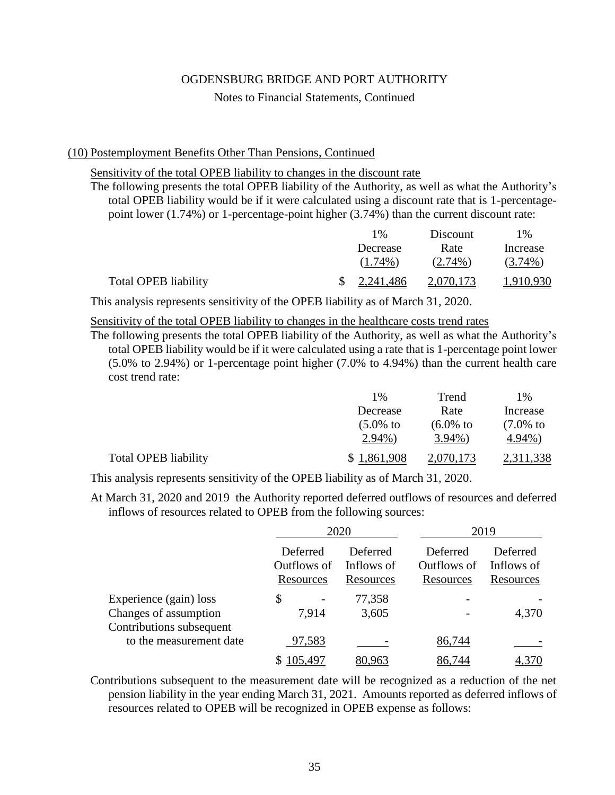#### Notes to Financial Statements, Continued

#### (10) Postemployment Benefits Other Than Pensions, Continued

Sensitivity of the total OPEB liability to changes in the discount rate

The following presents the total OPEB liability of the Authority, as well as what the Authority's total OPEB liability would be if it were calculated using a discount rate that is 1-percentagepoint lower (1.74%) or 1-percentage-point higher (3.74%) than the current discount rate:

|                             | $1\%$                 | Discount   | $1\%$      |
|-----------------------------|-----------------------|------------|------------|
|                             | Decrease              | Rate       | Increase   |
|                             | $(1.74\%)$            | $(2.74\%)$ | $(3.74\%)$ |
| <b>Total OPEB liability</b> | $\frac{2,241,486}{2}$ | 2,070,173  | 1,910,930  |

This analysis represents sensitivity of the OPEB liability as of March 31, 2020.

## Sensitivity of the total OPEB liability to changes in the healthcare costs trend rates

The following presents the total OPEB liability of the Authority, as well as what the Authority's total OPEB liability would be if it were calculated using a rate that is 1-percentage point lower (5.0% to 2.94%) or 1-percentage point higher (7.0% to 4.94%) than the current health care cost trend rate:

|                             | $1\%$                | Trend                | 1%                   |
|-----------------------------|----------------------|----------------------|----------------------|
|                             | Decrease             | Rate                 | Increase             |
|                             | $(5.0\% \text{ to }$ | $(6.0\% \text{ to }$ | $(7.0\% \text{ to }$ |
|                             | $2.94\%$ )           | $3.94\%$             | $4.94\%$             |
| <b>Total OPEB liability</b> | \$1,861,908          | 2,070,173            | 2,311,338            |

This analysis represents sensitivity of the OPEB liability as of March 31, 2020.

At March 31, 2020 and 2019 the Authority reported deferred outflows of resources and deferred inflows of resources related to OPEB from the following sources:

|                                                                             |                                      | 2020                                | 2019                                 |                                     |  |
|-----------------------------------------------------------------------------|--------------------------------------|-------------------------------------|--------------------------------------|-------------------------------------|--|
|                                                                             | Deferred<br>Outflows of<br>Resources | Deferred<br>Inflows of<br>Resources | Deferred<br>Outflows of<br>Resources | Deferred<br>Inflows of<br>Resources |  |
| Experience (gain) loss<br>Changes of assumption<br>Contributions subsequent | \$<br>7,914                          | 77,358<br>3,605                     |                                      | 4,370                               |  |
| to the measurement date                                                     | 97,583                               |                                     | 86,744                               |                                     |  |
|                                                                             |                                      |                                     |                                      |                                     |  |

Contributions subsequent to the measurement date will be recognized as a reduction of the net pension liability in the year ending March 31, 2021. Amounts reported as deferred inflows of resources related to OPEB will be recognized in OPEB expense as follows: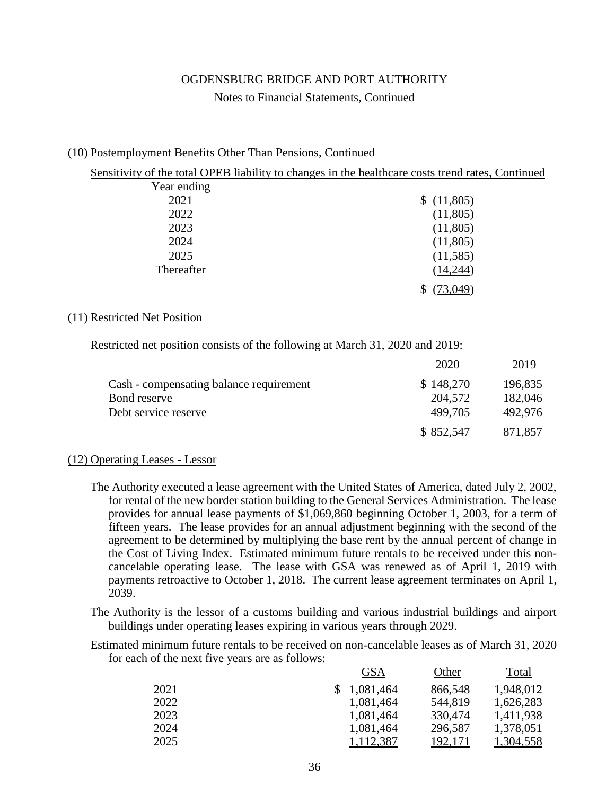## Notes to Financial Statements, Continued

## (10) Postemployment Benefits Other Than Pensions, Continued

|             | Sensitivity of the total OPEB liability to changes in the healthcare costs trend rates, Continued |
|-------------|---------------------------------------------------------------------------------------------------|
| Year ending |                                                                                                   |
| 2021        | \$(11,805)                                                                                        |
| 2022        | (11,805)                                                                                          |
| 2023        | (11,805)                                                                                          |
| 2024        | (11,805)                                                                                          |
| 2025        | (11,585)                                                                                          |
| Thereafter  | (14,244)                                                                                          |
|             | (73,049)                                                                                          |

## (11) Restricted Net Position

Restricted net position consists of the following at March 31, 2020 and 2019:

|                                         | 2020      | 2019    |
|-----------------------------------------|-----------|---------|
| Cash - compensating balance requirement | \$148,270 | 196,835 |
| Bond reserve                            | 204,572   | 182,046 |
| Debt service reserve                    | 499,705   | 492,976 |
|                                         | \$852,547 | 871,857 |

## (12) Operating Leases - Lessor

- The Authority executed a lease agreement with the United States of America, dated July 2, 2002, for rental of the new border station building to the General Services Administration. The lease provides for annual lease payments of \$1,069,860 beginning October 1, 2003, for a term of fifteen years. The lease provides for an annual adjustment beginning with the second of the agreement to be determined by multiplying the base rent by the annual percent of change in the Cost of Living Index. Estimated minimum future rentals to be received under this noncancelable operating lease. The lease with GSA was renewed as of April 1, 2019 with payments retroactive to October 1, 2018. The current lease agreement terminates on April 1, 2039.
- The Authority is the lessor of a customs building and various industrial buildings and airport buildings under operating leases expiring in various years through 2029.
- Estimated minimum future rentals to be received on non-cancelable leases as of March 31, 2020 for each of the next five years are as follows:

|      |             | <b>GSA</b> | Other   | Total            |
|------|-------------|------------|---------|------------------|
| 2021 | \$1,081,464 |            | 866,548 | 1,948,012        |
| 2022 |             | 1,081,464  | 544,819 | 1,626,283        |
| 2023 |             | 1,081,464  | 330,474 | 1,411,938        |
| 2024 |             | 1,081,464  | 296,587 | 1,378,051        |
| 2025 |             | 1,112,387  | 192,171 | <u>1,304,558</u> |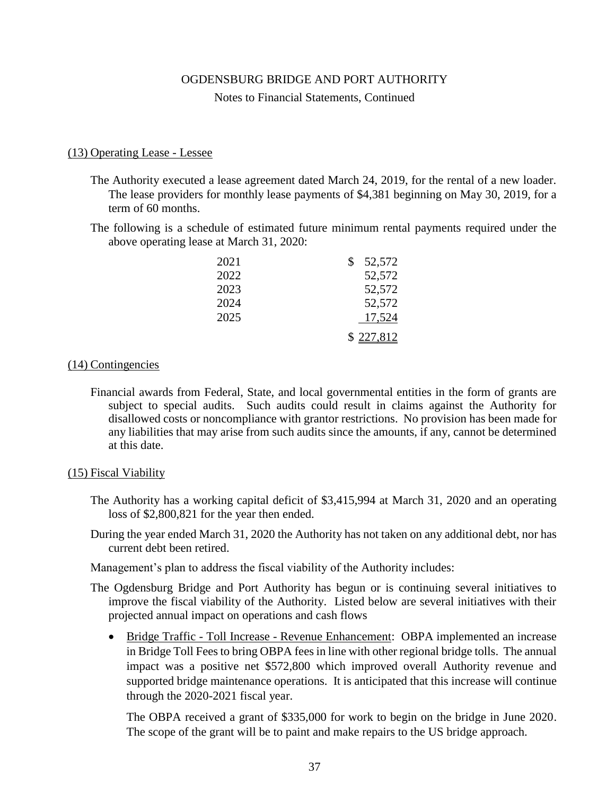Notes to Financial Statements, Continued

## (13) Operating Lease - Lessee

- The Authority executed a lease agreement dated March 24, 2019, for the rental of a new loader. The lease providers for monthly lease payments of \$4,381 beginning on May 30, 2019, for a term of 60 months.
- The following is a schedule of estimated future minimum rental payments required under the above operating lease at March 31, 2020:

| 2021 | 52,572    |
|------|-----------|
| 2022 | 52,572    |
| 2023 | 52,572    |
| 2024 | 52,572    |
| 2025 | 17,524    |
|      | \$227,812 |

#### (14) Contingencies

Financial awards from Federal, State, and local governmental entities in the form of grants are subject to special audits. Such audits could result in claims against the Authority for disallowed costs or noncompliance with grantor restrictions. No provision has been made for any liabilities that may arise from such audits since the amounts, if any, cannot be determined at this date.

## (15) Fiscal Viability

- The Authority has a working capital deficit of \$3,415,994 at March 31, 2020 and an operating loss of \$2,800,821 for the year then ended.
- During the year ended March 31, 2020 the Authority has not taken on any additional debt, nor has current debt been retired.

Management's plan to address the fiscal viability of the Authority includes:

- The Ogdensburg Bridge and Port Authority has begun or is continuing several initiatives to improve the fiscal viability of the Authority. Listed below are several initiatives with their projected annual impact on operations and cash flows
	- Bridge Traffic Toll Increase Revenue Enhancement: OBPA implemented an increase in Bridge Toll Fees to bring OBPA fees in line with other regional bridge tolls. The annual impact was a positive net \$572,800 which improved overall Authority revenue and supported bridge maintenance operations. It is anticipated that this increase will continue through the 2020-2021 fiscal year.

The OBPA received a grant of \$335,000 for work to begin on the bridge in June 2020. The scope of the grant will be to paint and make repairs to the US bridge approach.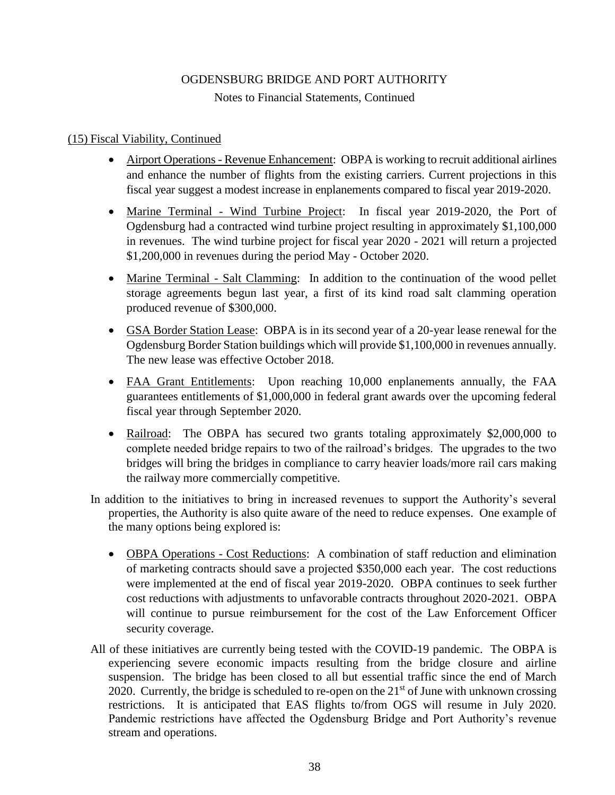Notes to Financial Statements, Continued

# (15) Fiscal Viability, Continued

- Airport Operations Revenue Enhancement: OBPA is working to recruit additional airlines and enhance the number of flights from the existing carriers. Current projections in this fiscal year suggest a modest increase in enplanements compared to fiscal year 2019-2020.
- Marine Terminal Wind Turbine Project: In fiscal year 2019-2020, the Port of Ogdensburg had a contracted wind turbine project resulting in approximately \$1,100,000 in revenues. The wind turbine project for fiscal year 2020 - 2021 will return a projected \$1,200,000 in revenues during the period May - October 2020.
- Marine Terminal Salt Clamming: In addition to the continuation of the wood pellet storage agreements begun last year, a first of its kind road salt clamming operation produced revenue of \$300,000.
- GSA Border Station Lease: OBPA is in its second year of a 20-year lease renewal for the Ogdensburg Border Station buildings which will provide \$1,100,000 in revenues annually. The new lease was effective October 2018.
- FAA Grant Entitlements: Upon reaching 10,000 enplanements annually, the FAA guarantees entitlements of \$1,000,000 in federal grant awards over the upcoming federal fiscal year through September 2020.
- Railroad: The OBPA has secured two grants totaling approximately \$2,000,000 to complete needed bridge repairs to two of the railroad's bridges. The upgrades to the two bridges will bring the bridges in compliance to carry heavier loads/more rail cars making the railway more commercially competitive.
- In addition to the initiatives to bring in increased revenues to support the Authority's several properties, the Authority is also quite aware of the need to reduce expenses. One example of the many options being explored is:
	- OBPA Operations Cost Reductions: A combination of staff reduction and elimination of marketing contracts should save a projected \$350,000 each year. The cost reductions were implemented at the end of fiscal year 2019-2020. OBPA continues to seek further cost reductions with adjustments to unfavorable contracts throughout 2020-2021. OBPA will continue to pursue reimbursement for the cost of the Law Enforcement Officer security coverage.
- All of these initiatives are currently being tested with the COVID-19 pandemic. The OBPA is experiencing severe economic impacts resulting from the bridge closure and airline suspension. The bridge has been closed to all but essential traffic since the end of March 2020. Currently, the bridge is scheduled to re-open on the  $21<sup>st</sup>$  of June with unknown crossing restrictions. It is anticipated that EAS flights to/from OGS will resume in July 2020. Pandemic restrictions have affected the Ogdensburg Bridge and Port Authority's revenue stream and operations.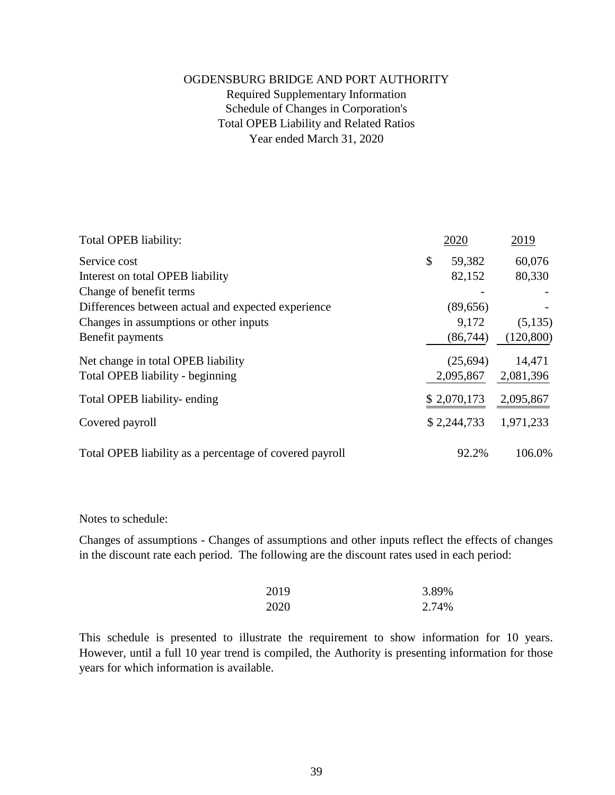# OGDENSBURG BRIDGE AND PORT AUTHORITY Required Supplementary Information Schedule of Changes in Corporation's Total OPEB Liability and Related Ratios Year ended March 31, 2020

| Total OPEB liability:                                   | 2020         | 2019       |
|---------------------------------------------------------|--------------|------------|
| Service cost                                            | \$<br>59,382 | 60,076     |
| Interest on total OPEB liability                        | 82,152       | 80,330     |
| Change of benefit terms                                 |              |            |
| Differences between actual and expected experience      | (89, 656)    |            |
| Changes in assumptions or other inputs                  | 9,172        | (5,135)    |
| Benefit payments                                        | (86, 744)    | (120, 800) |
| Net change in total OPEB liability                      | (25,694)     | 14,471     |
| Total OPEB liability - beginning                        | 2,095,867    | 2,081,396  |
| Total OPEB liability-ending                             | \$2,070,173  | 2,095,867  |
| Covered payroll                                         | \$2,244,733  | 1,971,233  |
| Total OPEB liability as a percentage of covered payroll | 92.2%        | 106.0%     |

Notes to schedule:

Changes of assumptions - Changes of assumptions and other inputs reflect the effects of changes in the discount rate each period. The following are the discount rates used in each period:

| 2019 | 3.89% |
|------|-------|
| 2020 | 2.74% |

This schedule is presented to illustrate the requirement to show information for 10 years. However, until a full 10 year trend is compiled, the Authority is presenting information for those years for which information is available.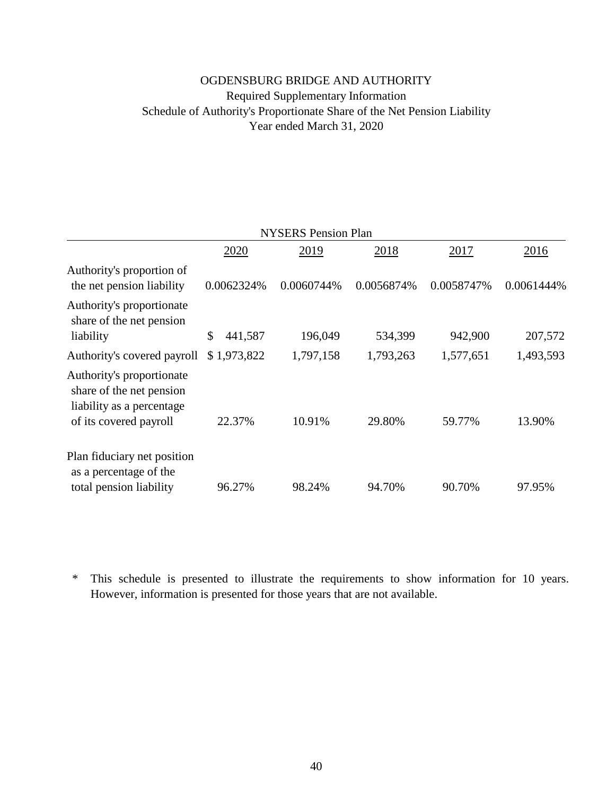# OGDENSBURG BRIDGE AND AUTHORITY Required Supplementary Information Schedule of Authority's Proportionate Share of the Net Pension Liability Year ended March 31, 2020

| <b>NYSERS Pension Plan</b>                                                                                   |               |            |            |            |            |  |  |  |
|--------------------------------------------------------------------------------------------------------------|---------------|------------|------------|------------|------------|--|--|--|
|                                                                                                              | 2020          | 2019       | 2018       | 2017       | 2016       |  |  |  |
| Authority's proportion of<br>the net pension liability                                                       | 0.0062324%    | 0.0060744% | 0.0056874% | 0.0058747% | 0.0061444% |  |  |  |
| Authority's proportionate<br>share of the net pension<br>liability                                           | \$<br>441,587 | 196,049    | 534,399    | 942,900    | 207,572    |  |  |  |
| Authority's covered payroll                                                                                  | \$1,973,822   | 1,797,158  | 1,793,263  | 1,577,651  | 1,493,593  |  |  |  |
| Authority's proportionate<br>share of the net pension<br>liability as a percentage<br>of its covered payroll | 22.37%        | 10.91%     | 29.80%     | 59.77%     | 13.90%     |  |  |  |
| Plan fiduciary net position<br>as a percentage of the<br>total pension liability                             | 96.27%        | 98.24%     | 94.70%     | 90.70%     | 97.95%     |  |  |  |

\* However, information is presented for those years that are not available. This schedule is presented to illustrate the requirements to show information for 10 years.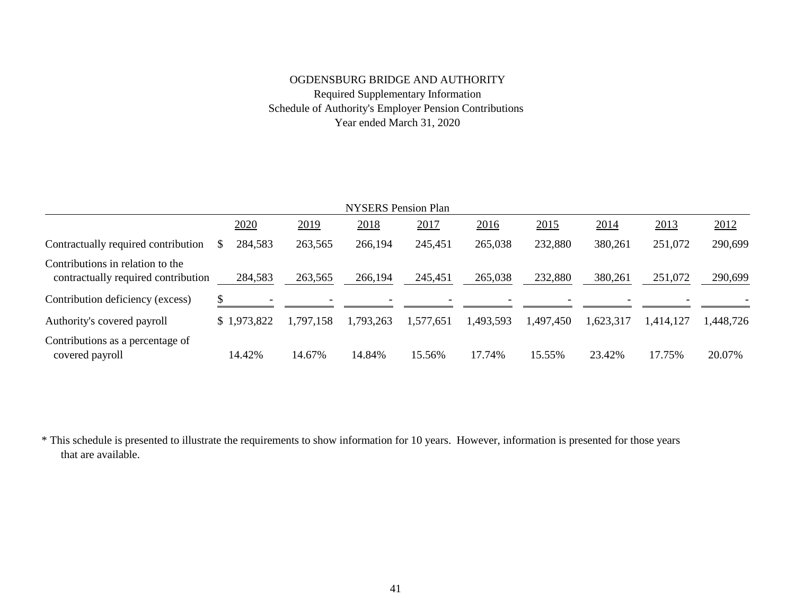# OGDENSBURG BRIDGE AND AUTHORITY Required Supplementary Information Schedule of Authority's Employer Pension Contributions Year ended March 31, 2020

| <b>NYSERS</b> Pension Plan                                              |  |             |           |  |           |           |           |           |           |           |           |
|-------------------------------------------------------------------------|--|-------------|-----------|--|-----------|-----------|-----------|-----------|-----------|-----------|-----------|
|                                                                         |  | 2020        | 2019      |  | 2018      | 2017      | 2016      | 2015      | 2014      | 2013      | 2012      |
| Contractually required contribution                                     |  | 284,583     | 263,565   |  | 266,194   | 245,451   | 265,038   | 232,880   | 380,261   | 251,072   | 290,699   |
| Contributions in relation to the<br>contractually required contribution |  | 284,583     | 263,565   |  | 266,194   | 245,451   | 265,038   | 232,880   | 380,261   | 251,072   | 290,699   |
| Contribution deficiency (excess)                                        |  |             |           |  |           |           |           |           |           |           |           |
| Authority's covered payroll                                             |  | \$1,973,822 | 1,797,158 |  | 1,793,263 | 1,577,651 | 1,493,593 | 1,497,450 | 1,623,317 | 1,414,127 | 1,448,726 |
| Contributions as a percentage of<br>covered payroll                     |  | 14.42%      | 14.67%    |  | 14.84%    | 15.56%    | 17.74%    | 15.55%    | 23.42%    | 17.75%    | 20.07%    |

\* This schedule is presented to illustrate the requirements to show information for 10 years. However, information is presented for those years that are available.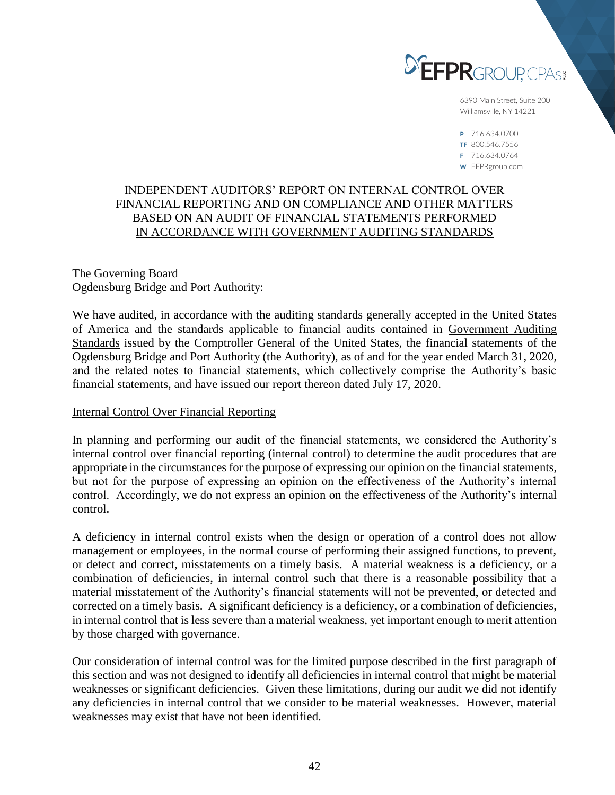

6390 Main Street, Suite 200 Williamsville, NY 14221

P 716.634.0700 TF 800.546.7556 F 716.634.0764 W EFPRgroup.com

# INDEPENDENT AUDITORS' REPORT ON INTERNAL CONTROL OVER FINANCIAL REPORTING AND ON COMPLIANCE AND OTHER MATTERS BASED ON AN AUDIT OF FINANCIAL STATEMENTS PERFORMED IN ACCORDANCE WITH GOVERNMENT AUDITING STANDARDS

The Governing Board Ogdensburg Bridge and Port Authority:

We have audited, in accordance with the auditing standards generally accepted in the United States of America and the standards applicable to financial audits contained in Government Auditing Standards issued by the Comptroller General of the United States, the financial statements of the Ogdensburg Bridge and Port Authority (the Authority), as of and for the year ended March 31, 2020, and the related notes to financial statements, which collectively comprise the Authority's basic financial statements, and have issued our report thereon dated July 17, 2020.

## Internal Control Over Financial Reporting

In planning and performing our audit of the financial statements, we considered the Authority's internal control over financial reporting (internal control) to determine the audit procedures that are appropriate in the circumstances for the purpose of expressing our opinion on the financial statements, but not for the purpose of expressing an opinion on the effectiveness of the Authority's internal control. Accordingly, we do not express an opinion on the effectiveness of the Authority's internal control.

A deficiency in internal control exists when the design or operation of a control does not allow management or employees, in the normal course of performing their assigned functions, to prevent, or detect and correct, misstatements on a timely basis. A material weakness is a deficiency, or a combination of deficiencies, in internal control such that there is a reasonable possibility that a material misstatement of the Authority's financial statements will not be prevented, or detected and corrected on a timely basis. A significant deficiency is a deficiency, or a combination of deficiencies, in internal control that is less severe than a material weakness, yet important enough to merit attention by those charged with governance.

Our consideration of internal control was for the limited purpose described in the first paragraph of this section and was not designed to identify all deficiencies in internal control that might be material weaknesses or significant deficiencies. Given these limitations, during our audit we did not identify any deficiencies in internal control that we consider to be material weaknesses. However, material weaknesses may exist that have not been identified.